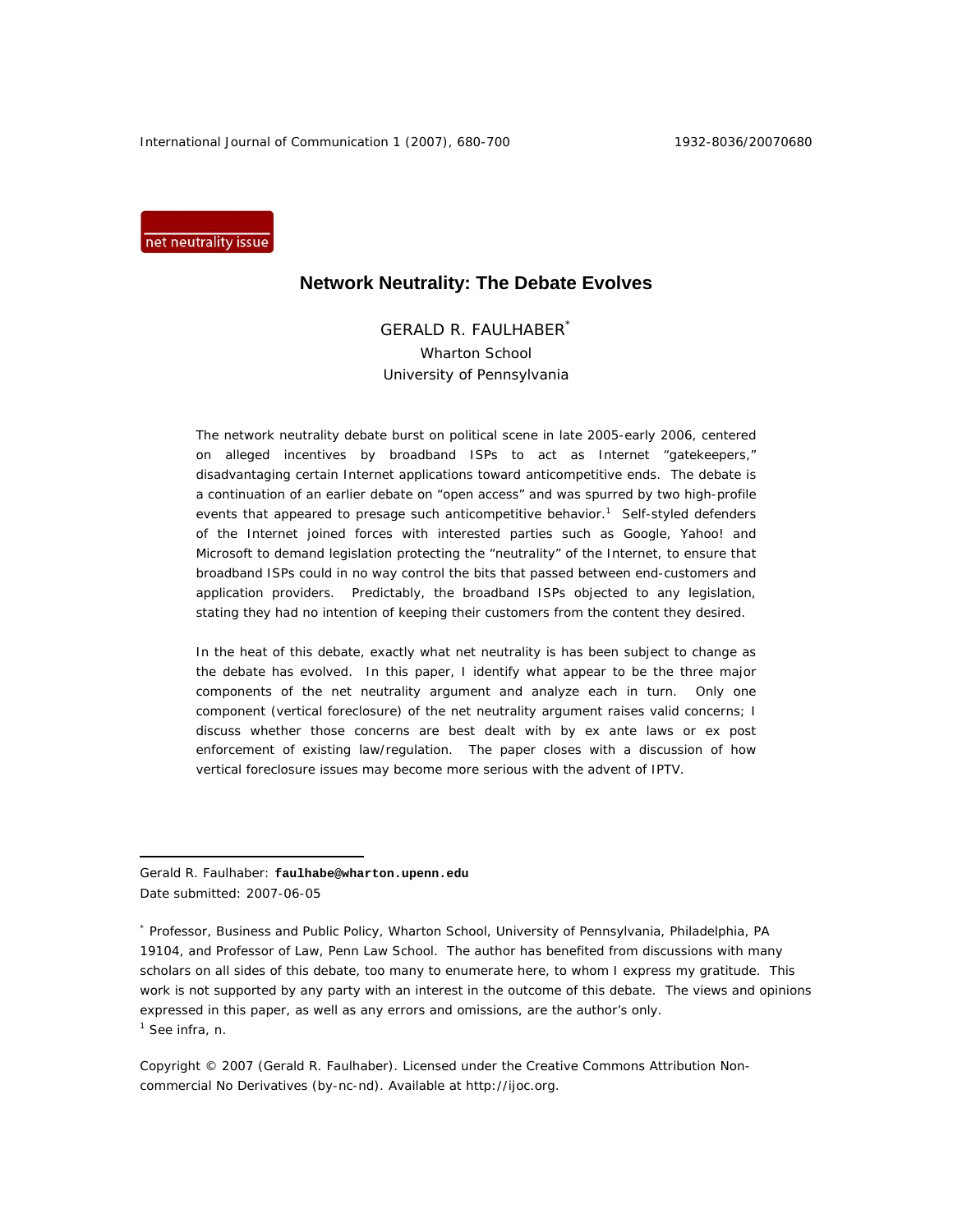International Journal of Communication 1 (2007), 680-700 1932-8036/20070680

net neutrality issue

# **Network Neutrality: The Debate Evolves**

GERALD R. FAULHABER\* Wharton School University of Pennsylvania

The network neutrality debate burst on political scene in late 2005-early 2006, centered on alleged incentives by broadband ISPs to act as Internet "gatekeepers," disadvantaging certain Internet applications toward anticompetitive ends. The debate is a continuation of an earlier debate on "open access" and was spurred by two high-profile events that appeared to presage such anticompetitive behavior.<sup>1</sup> Self-styled defenders of the Internet joined forces with interested parties such as Google, Yahoo! and Microsoft to demand legislation protecting the "neutrality" of the Internet, to ensure that broadband ISPs could in no way control the bits that passed between end-customers and application providers. Predictably, the broadband ISPs objected to any legislation, stating they had no intention of keeping their customers from the content they desired.

In the heat of this debate, exactly what net neutrality is has been subject to change as the debate has evolved. In this paper, I identify what appear to be the three major components of the net neutrality argument and analyze each in turn. Only one component (vertical foreclosure) of the net neutrality argument raises valid concerns; I discuss whether those concerns are best dealt with by *ex ante* laws or *ex post* enforcement of existing law/regulation. The paper closes with a discussion of how vertical foreclosure issues may become more serious with the advent of IPTV.

Gerald R. Faulhaber: **faulhabe@wharton.upenn.edu**  Date submitted: 2007-06-05

 $\overline{a}$ 

\* Professor, Business and Public Policy, Wharton School, University of Pennsylvania, Philadelphia, PA 19104, and Professor of Law, Penn Law School. The author has benefited from discussions with many scholars on all sides of this debate, too many to enumerate here, to whom I express my gratitude. This work is not supported by any party with an interest in the outcome of this debate. The views and opinions expressed in this paper, as well as any errors and omissions, are the author's only. 1 See *infra,* n.

Copyright © 2007 (Gerald R. Faulhaber). Licensed under the Creative Commons Attribution Noncommercial No Derivatives (by-nc-nd). Available at http://ijoc.org.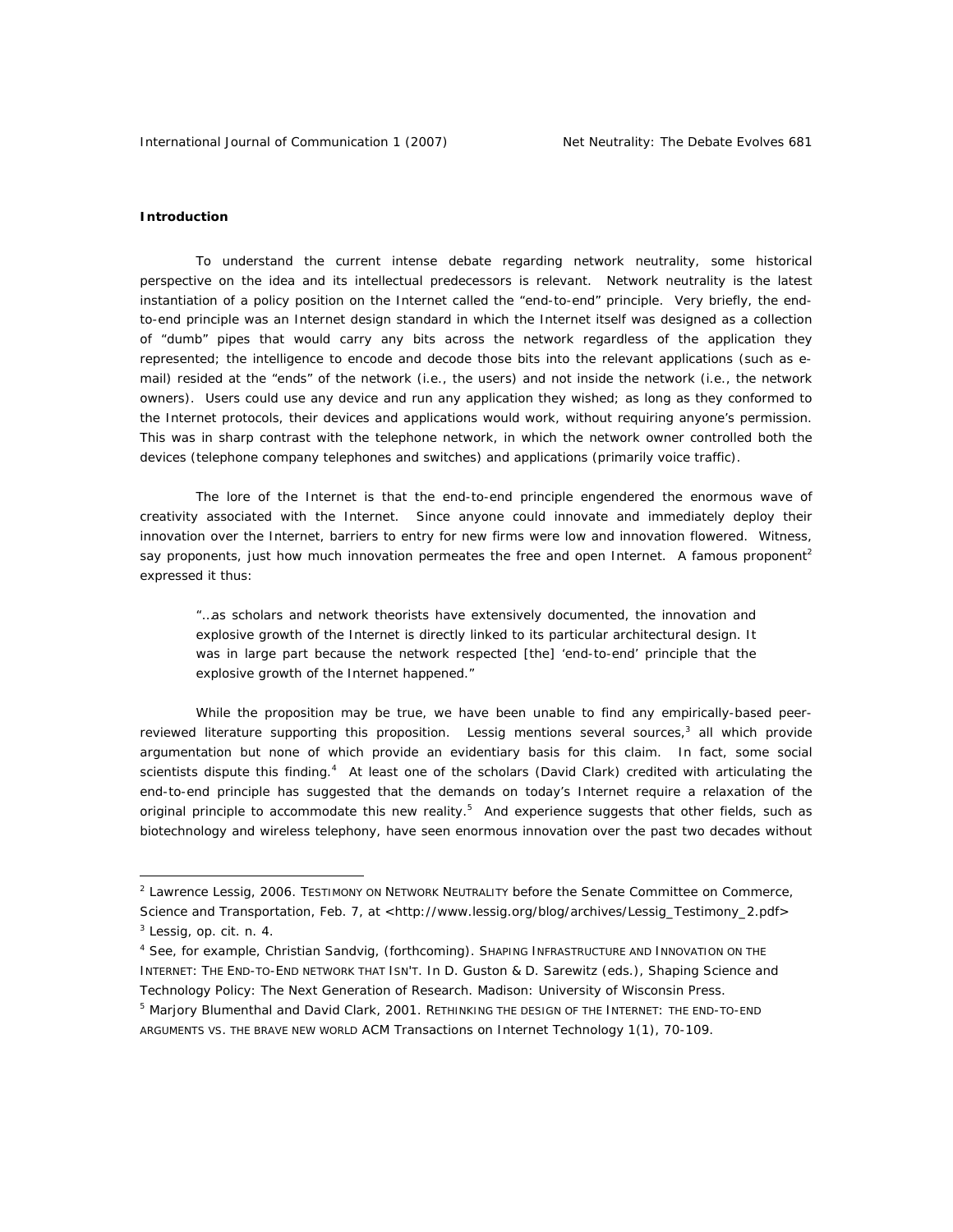#### **Introduction**

To understand the current intense debate regarding network neutrality, some historical perspective on the idea and its intellectual predecessors is relevant. Network neutrality is the latest instantiation of a policy position on the Internet called the "end-to-end" principle. Very briefly, the endto-end principle was an Internet design standard in which the Internet itself was designed as a collection of "dumb" pipes that would carry any bits across the network regardless of the application they represented; the intelligence to encode and decode those bits into the relevant applications (such as email) resided at the "ends" of the network (i.e., the users) and not inside the network (i.e., the network owners). Users could use any device and run any application they wished; as long as they conformed to the Internet protocols, their devices and applications would work, without requiring anyone's permission. This was in sharp contrast with the telephone network, in which the network owner controlled both the devices (telephone company telephones and switches) and applications (primarily voice traffic).

The lore of the Internet is that the end-to-end principle engendered the enormous wave of creativity associated with the Internet. Since anyone could innovate and immediately deploy their innovation over the Internet, barriers to entry for new firms were low and innovation flowered. Witness, say proponents, just how much innovation permeates the free and open Internet. A famous proponent<sup>2</sup> expressed it thus:

"…as scholars and network theorists have extensively documented, the innovation and explosive growth of the Internet is directly linked to its particular architectural design. It was in large part because the network respected [the] 'end-to-end' principle that the explosive growth of the Internet happened."

While the proposition may be true, we have been unable to find any empirically-based peerreviewed literature supporting this proposition. Lessig mentions several sources,<sup>3</sup> all which provide argumentation but none of which provide an evidentiary basis for this claim. In fact, some social scientists dispute this finding.<sup>4</sup> At least one of the scholars (David Clark) credited with articulating the end-to-end principle has suggested that the demands on today's Internet require a relaxation of the original principle to accommodate this new reality.<sup>5</sup> And experience suggests that other fields, such as biotechnology and wireless telephony, have seen enormous innovation over the past two decades without

<sup>&</sup>lt;sup>2</sup> Lawrence Lessig, 2006. TESTIMONY ON NETWORK NEUTRALITY before the Senate Committee on Commerce, Science and Transportation, Feb. 7, at <http://www.lessig.org/blog/archives/Lessig\_Testimony\_2.pdf>

<sup>3</sup> Lessig, *op. cit.* n. 4.

<sup>4</sup> See, for example, Christian Sandvig, (forthcoming). SHAPING INFRASTRUCTURE AND INNOVATION ON THE INTERNET: THE END-TO-END NETWORK THAT ISN'T. In D. Guston & D. Sarewitz (eds.), *Shaping Science and Technology Policy: The Next Generation of Research.* Madison: University of Wisconsin Press.

<sup>&</sup>lt;sup>5</sup> Marjory Blumenthal and David Clark, 2001. RETHINKING THE DESIGN OF THE INTERNET: THE END-TO-END ARGUMENTS VS. THE BRAVE NEW WORLD *ACM Transactions on Internet Technology* 1(1), 70-109.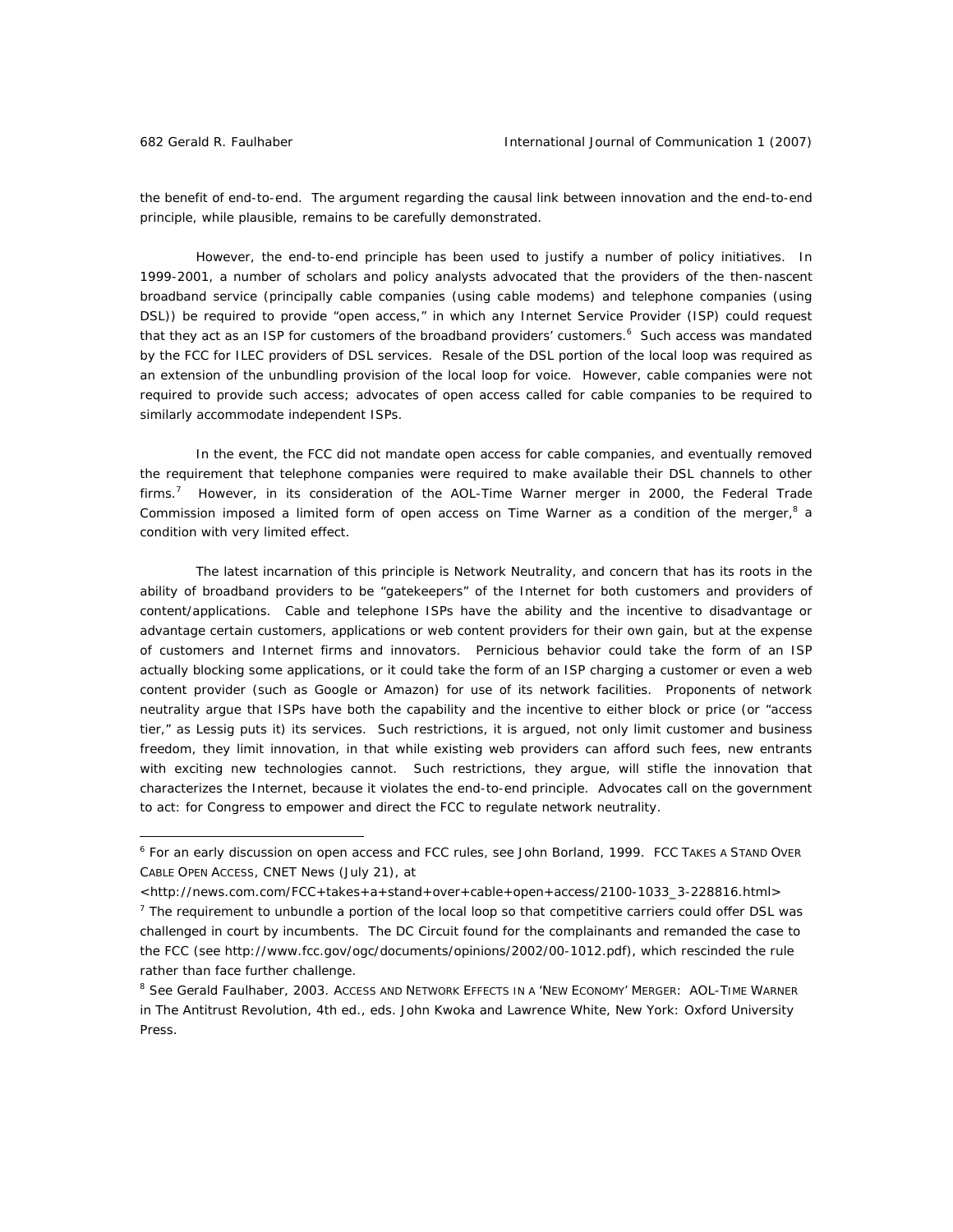the benefit of end-to-end. The argument regarding the causal link between innovation and the end-to-end principle, while plausible, remains to be carefully demonstrated.

However, the end-to-end principle has been used to justify a number of policy initiatives. In 1999-2001, a number of scholars and policy analysts advocated that the providers of the then-nascent broadband service (principally cable companies (using cable modems) and telephone companies (using DSL)) be required to provide "open access," in which any Internet Service Provider (ISP) could request that they act as an ISP for customers of the broadband providers' customers.<sup>6</sup> Such access was mandated by the FCC for ILEC providers of DSL services. Resale of the DSL portion of the local loop was required as an extension of the unbundling provision of the local loop for voice. However, cable companies were not required to provide such access; advocates of open access called for cable companies to be required to similarly accommodate independent ISPs.

In the event, the FCC did not mandate open access for cable companies, and eventually removed the requirement that telephone companies were required to make available their DSL channels to other firms.<sup>7</sup> However, in its consideration of the AOL-Time Warner merger in 2000, the Federal Trade Commission imposed a limited form of open access on Time Warner as a condition of the merger, $8$  a condition with very limited effect.

The latest incarnation of this principle is Network Neutrality, and concern that has its roots in the ability of broadband providers to be "gatekeepers" of the Internet for both customers and providers of content/applications. Cable and telephone ISPs have the ability and the incentive to disadvantage or advantage certain customers, applications or web content providers for their own gain, but at the expense of customers and Internet firms and innovators. Pernicious behavior could take the form of an ISP actually blocking some applications, or it could take the form of an ISP charging a customer or even a web content provider (such as Google or Amazon) for use of its network facilities. Proponents of network neutrality argue that ISPs have both the capability and the incentive to either block or price (or "access tier," as Lessig puts it) its services. Such restrictions, it is argued, not only limit customer and business freedom, they limit innovation, in that while existing web providers can afford such fees, new entrants with exciting new technologies cannot. Such restrictions, they argue, will stifle the innovation that characterizes the Internet, because it violates the end-to-end principle. Advocates call on the government to act: for Congress to empower and direct the FCC to regulate network neutrality.

<sup>6</sup> For an early discussion on open access and FCC rules, see John Borland, 1999. FCC TAKES A STAND OVER CABLE OPEN ACCESS, *CNET News* (July 21), at

<sup>&</sup>lt;http://news.com.com/FCC+takes+a+stand+over+cable+open+access/2100-1033\_3-228816.html>

 $<sup>7</sup>$  The requirement to unbundle a portion of the local loop so that competitive carriers could offer DSL was</sup> challenged in court by incumbents. The DC Circuit found for the complainants and remanded the case to the FCC (see http://www.fcc.gov/ogc/documents/opinions/2002/00-1012.pdf), which rescinded the rule rather than face further challenge.

<sup>&</sup>lt;sup>8</sup> See Gerald Faulhaber, 2003. Access and Network Effects in a 'New Economy' Merger: AOL-Time Warner in *The Antitrust Revolution*, 4th ed., eds. John Kwoka and Lawrence White, New York: Oxford University Press.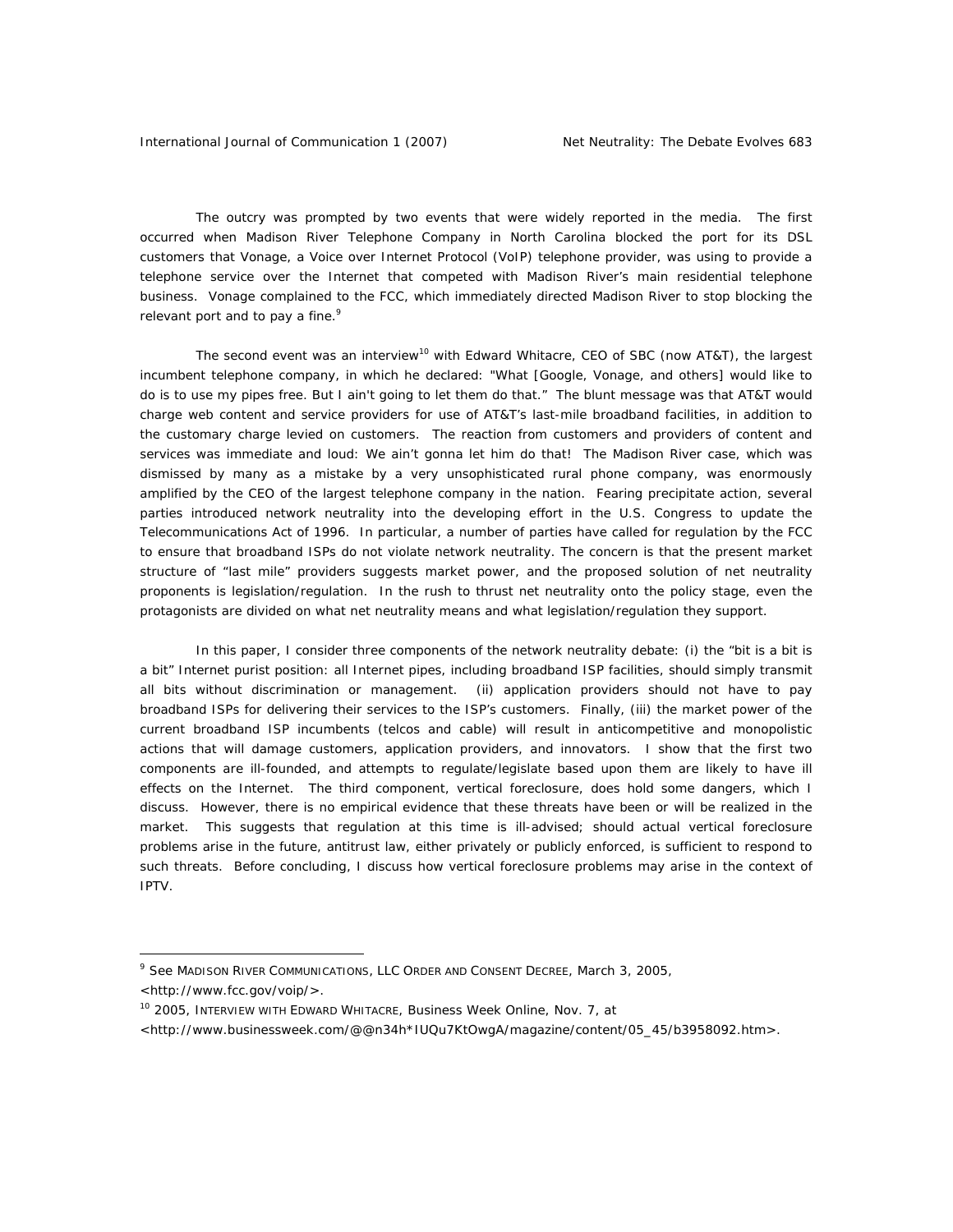The outcry was prompted by two events that were widely reported in the media. The first occurred when Madison River Telephone Company in North Carolina blocked the port for its DSL customers that Vonage, a Voice over Internet Protocol (VoIP) telephone provider, was using to provide a telephone service over the Internet that competed with Madison River's main residential telephone business. Vonage complained to the FCC, which immediately directed Madison River to stop blocking the relevant port and to pay a fine.<sup>9</sup>

The second event was an interview<sup>10</sup> with Edward Whitacre, CEO of SBC (now AT&T), the largest incumbent telephone company, in which he declared: "What [Google, Vonage, and others] would like to do is to use my pipes free. But I ain't going to let them do that." The blunt message was that AT&T would charge web content and service providers for use of AT&T's last-mile broadband facilities, in addition to the customary charge levied on customers. The reaction from customers and providers of content and services was immediate and loud: We ain't gonna let him do that! The Madison River case, which was dismissed by many as a mistake by a very unsophisticated rural phone company, was enormously amplified by the CEO of the largest telephone company in the nation. Fearing precipitate action, several parties introduced network neutrality into the developing effort in the U.S. Congress to update the Telecommunications Act of 1996. In particular, a number of parties have called for regulation by the FCC to ensure that broadband ISPs do not violate network neutrality. The concern is that the present market structure of "last mile" providers suggests market power, and the proposed solution of net neutrality proponents is legislation/regulation. In the rush to thrust net neutrality onto the policy stage, even the protagonists are divided on what net neutrality means and what legislation/regulation they support.

In this paper, I consider three components of the network neutrality debate: (i) the "bit is a bit is a bit" Internet purist position: all Internet pipes, including broadband ISP facilities, should simply transmit all bits without discrimination or management. (ii) application providers should not have to pay broadband ISPs for delivering their services to the ISP's customers. Finally, (iii) the market power of the current broadband ISP incumbents (telcos and cable) will result in anticompetitive and monopolistic actions that will damage customers, application providers, and innovators. I show that the first two components are ill-founded, and attempts to regulate/legislate based upon them are likely to have ill effects on the Internet. The third component, vertical foreclosure, does hold some dangers, which I discuss. However, there is no empirical evidence that these threats have been or will be realized in the market. This suggests that regulation at this time is ill-advised; should actual vertical foreclosure problems arise in the future, antitrust law, either privately or publicly enforced, is sufficient to respond to such threats. Before concluding, I discuss how vertical foreclosure problems may arise in the context of IPTV.

 $\overline{a}$ 

<http://www.businessweek.com/@@n34h\*IUQu7KtOwgA/magazine/content/05\_45/b3958092.htm>.

<sup>9</sup> See MADISON RIVER COMMUNICATIONS, LLC ORDER AND CONSENT DECREE, March 3, 2005,

<sup>&</sup>lt;http://www.fcc.gov/voip/>.

<sup>10 2005,</sup> INTERVIEW WITH EDWARD WHITACRE, *Business Week Online*, Nov. 7, at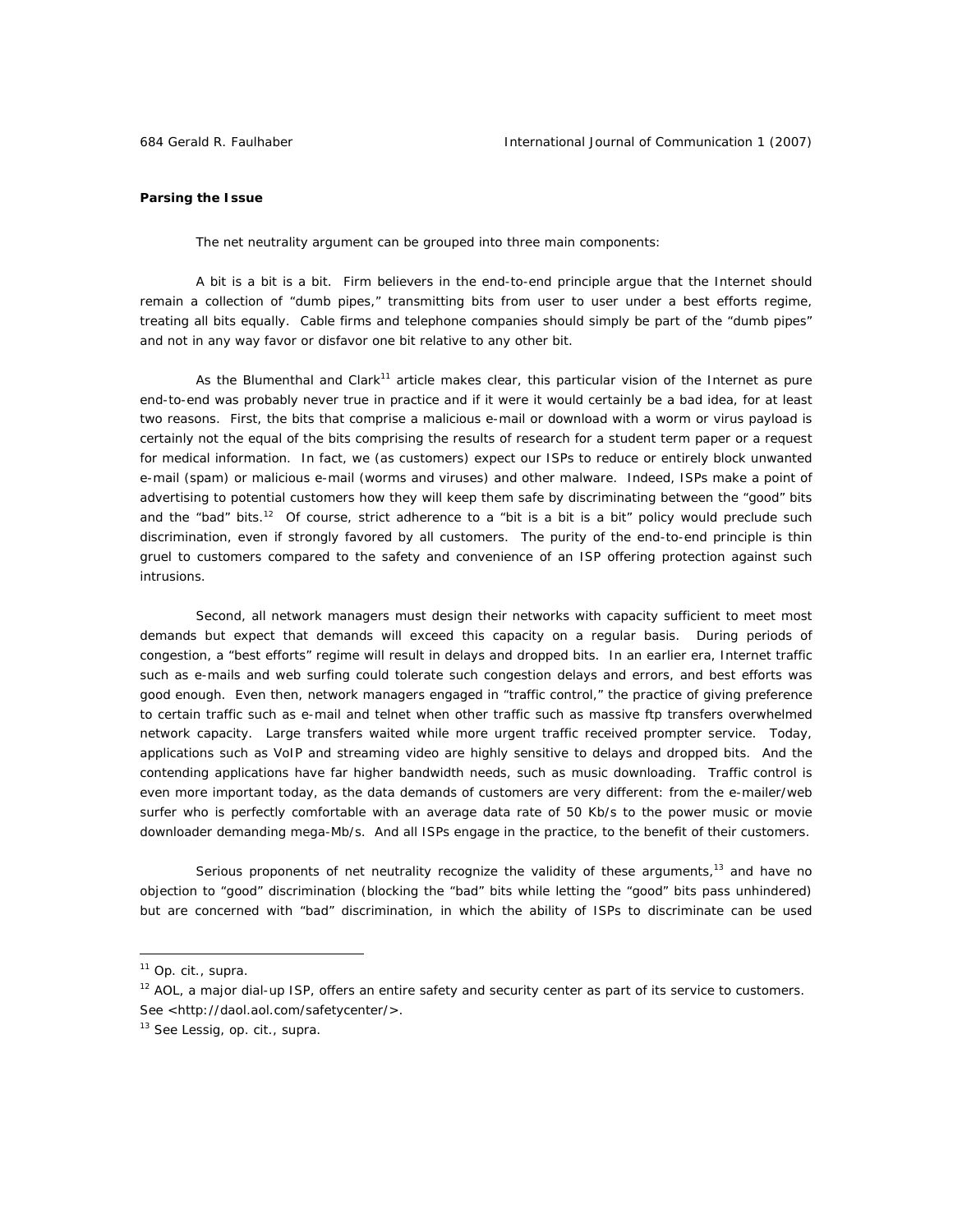## **Parsing the Issue**

The net neutrality argument can be grouped into three main components:

*A bit is a bit is a bit.* Firm believers in the end-to-end principle argue that the Internet should remain a collection of "dumb pipes," transmitting bits from user to user under a best efforts regime, treating all bits equally. Cable firms and telephone companies should simply be part of the "dumb pipes" and not in any way favor or disfavor one bit relative to any other bit.

As the Blumenthal and Clark<sup>11</sup> article makes clear, this particular vision of the Internet as pure end-to-end was probably never true in practice and if it were it would certainly be a bad idea, for at least two reasons. First, the bits that comprise a malicious e-mail or download with a worm or virus payload is certainly not the equal of the bits comprising the results of research for a student term paper or a request for medical information. In fact, we (as customers) expect our ISPs to reduce or entirely block unwanted e-mail (spam) or malicious e-mail (worms and viruses) and other malware. Indeed, ISPs make a point of advertising to potential customers how they will keep them safe by discriminating between the "good" bits and the "bad" bits.<sup>12</sup> Of course, strict adherence to a "bit is a bit is a bit" policy would preclude such discrimination, even if strongly favored by all customers. The purity of the end-to-end principle is thin gruel to customers compared to the safety and convenience of an ISP offering protection against such intrusions.

Second, all network managers must design their networks with capacity sufficient to meet most demands but expect that demands will exceed this capacity on a regular basis. During periods of congestion, a "best efforts" regime will result in delays and dropped bits. In an earlier era, Internet traffic such as e-mails and web surfing could tolerate such congestion delays and errors, and best efforts was good enough. Even then, network managers engaged in "traffic control," the practice of giving preference to certain traffic such as e-mail and telnet when other traffic such as massive ftp transfers overwhelmed network capacity. Large transfers waited while more urgent traffic received prompter service. Today, applications such as VoIP and streaming video are highly sensitive to delays and dropped bits. And the contending applications have far higher bandwidth needs, such as music downloading. Traffic control is even more important today, as the data demands of customers are very different: from the e-mailer/web surfer who is perfectly comfortable with an average data rate of 50 Kb/s to the power music or movie downloader demanding mega-Mb/s. And all ISPs engage in the practice, to the benefit of their customers.

Serious proponents of net neutrality recognize the validity of these arguments, $13$  and have no objection to "good" discrimination (blocking the "bad" bits while letting the "good" bits pass unhindered) but are concerned with "bad" discrimination, in which the ability of ISPs to discriminate can be used

<sup>11</sup> *Op. cit., supra.* 

 $12$  AOL, a major dial-up ISP, offers an entire safety and security center as part of its service to customers. See <http://daol.aol.com/safetycenter/>.

<sup>13</sup> See Lessig, *op. cit., supra.*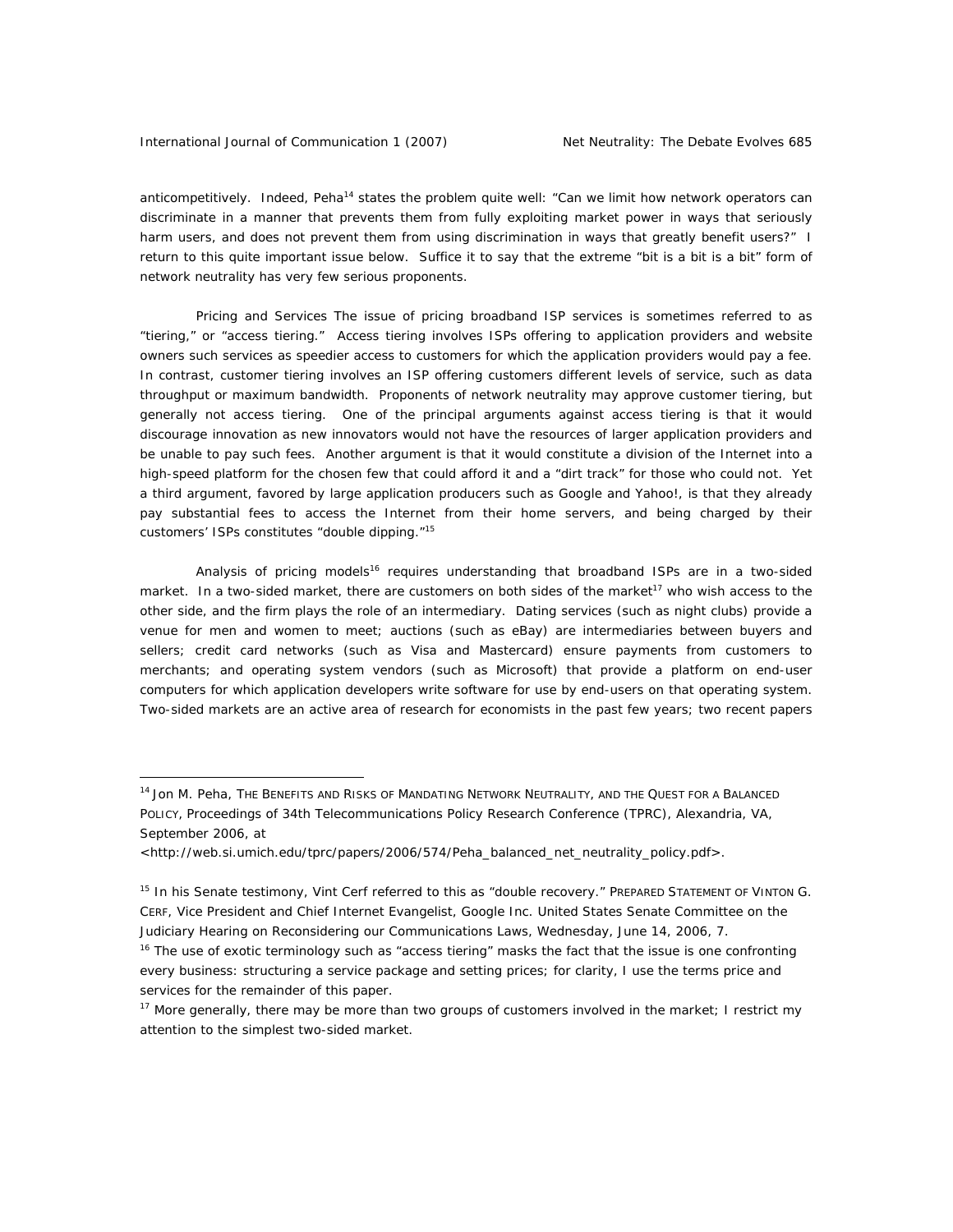anticompetitively. Indeed, Peha<sup>14</sup> states the problem quite well: "Can we limit how network operators can discriminate in a manner that prevents them from fully exploiting market power in ways that seriously harm users, and does not prevent them from using discrimination in ways that greatly benefit users?" I return to this quite important issue below. Suffice it to say that the extreme "bit is a bit is a bit" form of network neutrality has very few serious proponents.

*Pricing and Services* The issue of pricing broadband ISP services is sometimes referred to as "tiering," or "access tiering." Access tiering involves ISPs offering to application providers and website owners such services as speedier access to customers for which the application providers would pay a fee. In contrast, customer tiering involves an ISP offering customers different levels of service, such as data throughput or maximum bandwidth. Proponents of network neutrality may approve customer tiering, but generally not access tiering. One of the principal arguments against access tiering is that it would discourage innovation as new innovators would not have the resources of larger application providers and be unable to pay such fees. Another argument is that it would constitute a division of the Internet into a high-speed platform for the chosen few that could afford it and a "dirt track" for those who could not. Yet a third argument, favored by large application producers such as Google and Yahoo!, is that they already pay substantial fees to access the Internet from their home servers, and being charged by their customers' ISPs constitutes "double dipping."15

Analysis of pricing models<sup>16</sup> requires understanding that broadband ISPs are in a *two-sided market.* In a two-sided market, there are customers on both sides of the market<sup>17</sup> who wish access to the other side, and the firm plays the role of an intermediary. Dating services (such as night clubs) provide a venue for men and women to meet; auctions (such as eBay) are intermediaries between buyers and sellers; credit card networks (such as Visa and Mastercard) ensure payments from customers to merchants; and operating system vendors (such as Microsoft) that provide a platform on end-user computers for which application developers write software for use by end-users on that operating system. Two-sided markets are an active area of research for economists in the past few years; two recent papers

<sup>&</sup>lt;sup>14</sup> Jon M. Peha, The Benefits and Risks of Mandating Network Neutrality, and the Quest for a Balanced POLICY, *Proceedings of 34th Telecommunications Policy Research Conference (TPRC)*, Alexandria, VA, September 2006, at

<sup>&</sup>lt;http://web.si.umich.edu/tprc/papers/2006/574/Peha\_balanced\_net\_neutrality\_policy.pdf>.

<sup>&</sup>lt;sup>15</sup> In his Senate testimony, Vint Cerf referred to this as "double recovery." PREPARED STATEMENT OF VINTON G. CERF, Vice President and Chief Internet Evangelist, Google Inc. United States Senate Committee on the Judiciary Hearing on Reconsidering our Communications Laws, Wednesday, June 14, 2006, 7.

<sup>&</sup>lt;sup>16</sup> The use of exotic terminology such as "access tiering" masks the fact that the issue is one confronting every business: structuring a service package and setting prices; for clarity, I use the terms price and services for the remainder of this paper.

<sup>&</sup>lt;sup>17</sup> More generally, there may be more than two groups of customers involved in the market; I restrict my attention to the simplest two-sided market.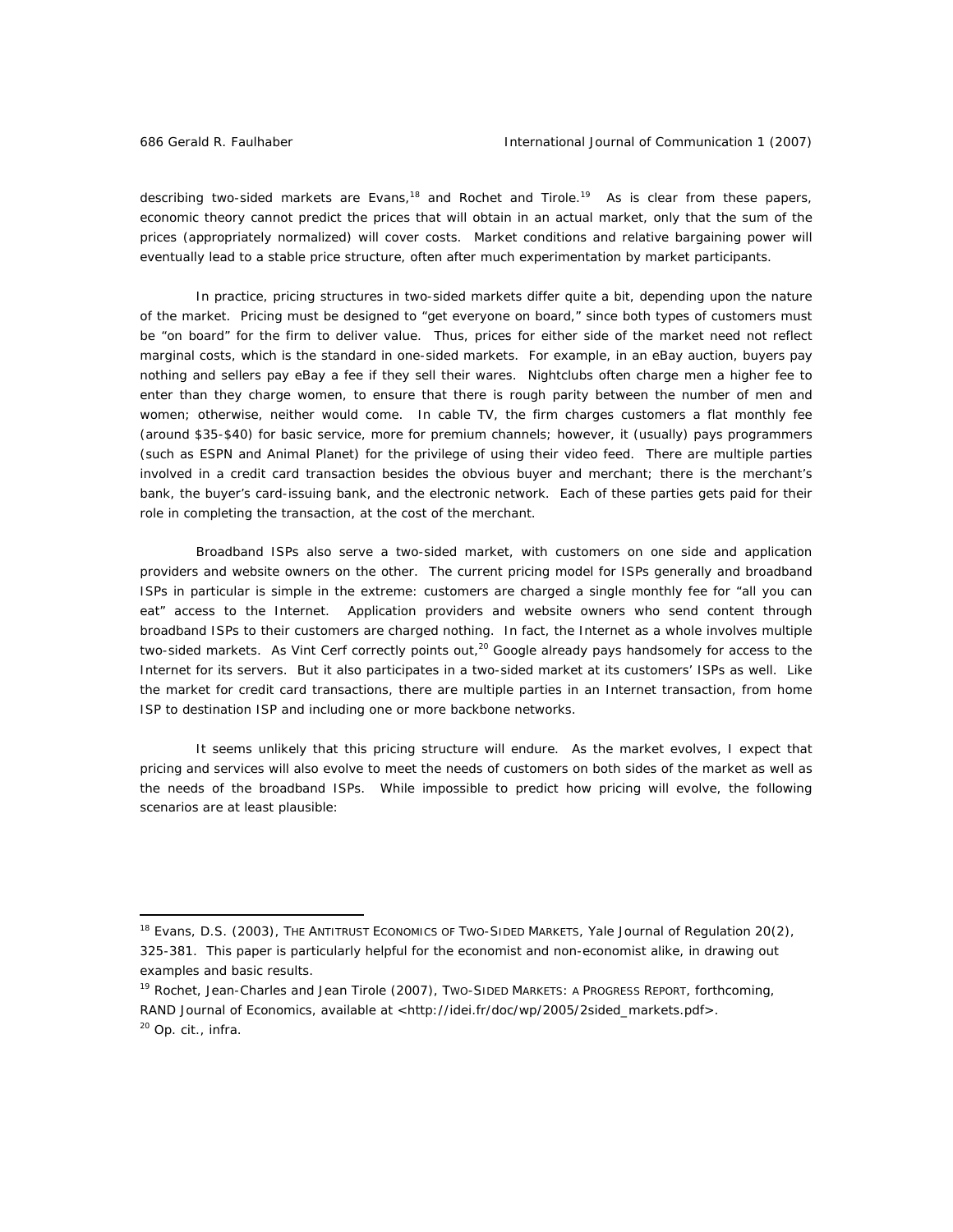describing two-sided markets are Evans,<sup>18</sup> and Rochet and Tirole.<sup>19</sup> As is clear from these papers, economic theory cannot predict the prices that will obtain in an actual market, only that the sum of the prices (appropriately normalized) will cover costs. Market conditions and relative bargaining power will eventually lead to a stable price structure, often after much experimentation by market participants.

In practice, pricing structures in two-sided markets differ quite a bit, depending upon the nature of the market. Pricing must be designed to "get everyone on board," since both types of customers must be "on board" for the firm to deliver value. Thus, prices for either side of the market need not reflect marginal costs, which is the standard in one-sided markets. For example, in an eBay auction, buyers pay nothing and sellers pay eBay a fee if they sell their wares. Nightclubs often charge men a higher fee to enter than they charge women, to ensure that there is rough parity between the number of men and women; otherwise, neither would come. In cable TV, the firm charges customers a flat monthly fee (around \$35-\$40) for basic service, more for premium channels; however, it (usually) pays programmers (such as ESPN and Animal Planet) for the privilege of using their video feed. There are multiple parties involved in a credit card transaction besides the obvious buyer and merchant; there is the merchant's bank, the buyer's card-issuing bank, and the electronic network. Each of these parties gets paid for their role in completing the transaction, at the cost of the merchant.

Broadband ISPs also serve a two-sided market, with customers on one side and application providers and website owners on the other. The current pricing model for ISPs generally and broadband ISPs in particular is simple in the extreme: customers are charged a single monthly fee for "all you can eat" access to the Internet. Application providers and website owners who send content through broadband ISPs to their customers are charged nothing. In fact, the Internet as a whole involves multiple two-sided markets. As Vint Cerf correctly points out, $20$  Google already pays handsomely for access to the Internet for its servers. But it also participates in a two-sided market at its customers' ISPs as well. Like the market for credit card transactions, there are multiple parties in an Internet transaction, from home ISP to destination ISP and including one or more backbone networks.

It seems unlikely that this pricing structure will endure. As the market evolves, I expect that pricing and services will also evolve to meet the needs of customers on both sides of the market as well as the needs of the broadband ISPs. While impossible to predict how pricing will evolve, the following scenarios are at least plausible:

<sup>18</sup> Evans, D.S. (2003), THE ANTITRUST ECONOMICS OF TWO-SIDED MARKETS, *Yale Journal of Regulation* 20(2), 325-381. This paper is particularly helpful for the economist and non-economist alike, in drawing out examples and basic results.

<sup>&</sup>lt;sup>19</sup> Rochet, Jean-Charles and Jean Tirole (2007), Two-SIDED MARKETS: A PROGRESS REPORT, forthcoming, *RAND Journal of Economics*, available at <http://idei.fr/doc/wp/2005/2sided\_markets.pdf>. <sup>20</sup> *Op. cit., infra.*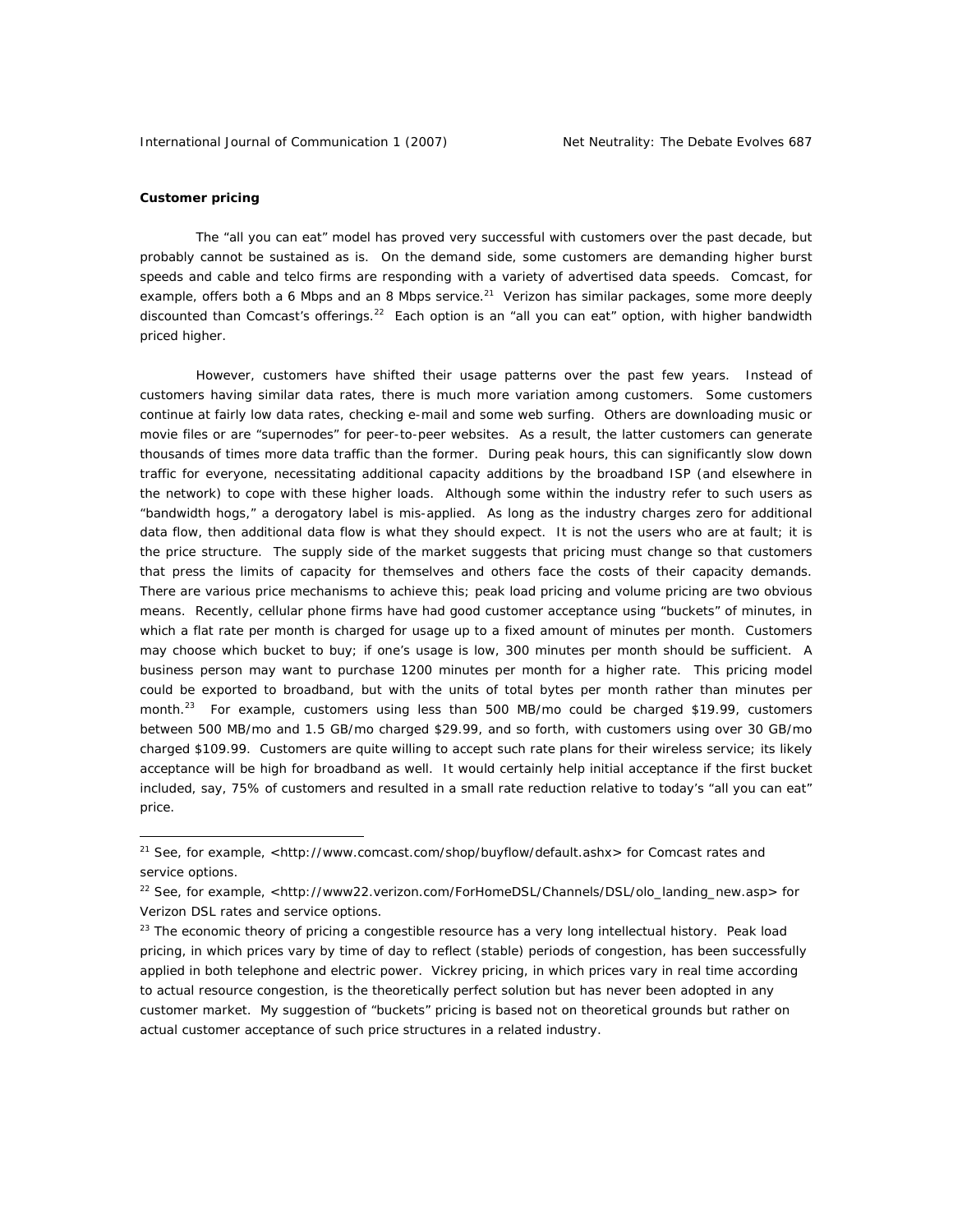## **Customer pricing**

 $\overline{a}$ 

The "all you can eat" model has proved very successful with customers over the past decade, but probably cannot be sustained as is. On the *demand* side, some customers are demanding higher burst speeds and cable and telco firms are responding with a variety of advertised data speeds. Comcast, for example, offers both a 6 Mbps and an 8 Mbps service.<sup>21</sup> Verizon has similar packages, some more deeply discounted than Comcast's offerings.<sup>22</sup> Each option is an "all you can eat" option, with higher bandwidth priced higher.

However, customers have shifted their usage patterns over the past few years. Instead of customers having similar data rates, there is much more variation among customers. Some customers continue at fairly low data rates, checking e-mail and some web surfing. Others are downloading music or movie files or are "supernodes" for peer-to-peer websites. As a result, the latter customers can generate thousands of times more data traffic than the former. During peak hours, this can significantly slow down traffic for everyone, necessitating additional capacity additions by the broadband ISP (and elsewhere in the network) to cope with these higher loads. Although some within the industry refer to such users as "bandwidth hogs," a derogatory label is mis-applied. As long as the industry charges zero for additional data flow, then additional data flow is what they should expect. It is not the users who are at fault; it is the price structure. The *supply* side of the market suggests that pricing must change so that customers that press the limits of capacity for themselves and others face the costs of their capacity demands. There are various price mechanisms to achieve this; peak load pricing and volume pricing are two obvious means. Recently, cellular phone firms have had good customer acceptance using "buckets" of minutes, in which a flat rate per month is charged for usage up to a fixed amount of minutes per month. Customers may choose which bucket to buy; if one's usage is low, 300 minutes per month should be sufficient. A business person may want to purchase 1200 minutes per month for a higher rate. This pricing model could be exported to broadband, but with the units of total bytes per month rather than minutes per month.<sup>23</sup> For example, customers using less than 500 MB/mo could be charged \$19.99, customers between 500 MB/mo and 1.5 GB/mo charged \$29.99, and so forth, with customers using over 30 GB/mo charged \$109.99. Customers are quite willing to accept such rate plans for their wireless service; its likely acceptance will be high for broadband as well. It would certainly help initial acceptance if the first bucket included, say, 75% of customers and resulted in a small rate *reduction* relative to today's "all you can eat" price.

<sup>&</sup>lt;sup>21</sup> See, for example, <http://www.comcast.com/shop/buyflow/default.ashx> for Comcast rates and service options.

<sup>&</sup>lt;sup>22</sup> See, for example, <http://www22.verizon.com/ForHomeDSL/Channels/DSL/olo\_landing\_new.asp> for Verizon DSL rates and service options.

 $23$  The economic theory of pricing a congestible resource has a very long intellectual history. Peak load pricing, in which prices vary by time of day to reflect (stable) periods of congestion, has been successfully applied in both telephone and electric power. Vickrey pricing, in which prices vary in real time according to actual resource congestion, is the theoretically perfect solution but has never been adopted in any customer market. My suggestion of "buckets" pricing is based not on theoretical grounds but rather on actual customer acceptance of such price structures in a related industry.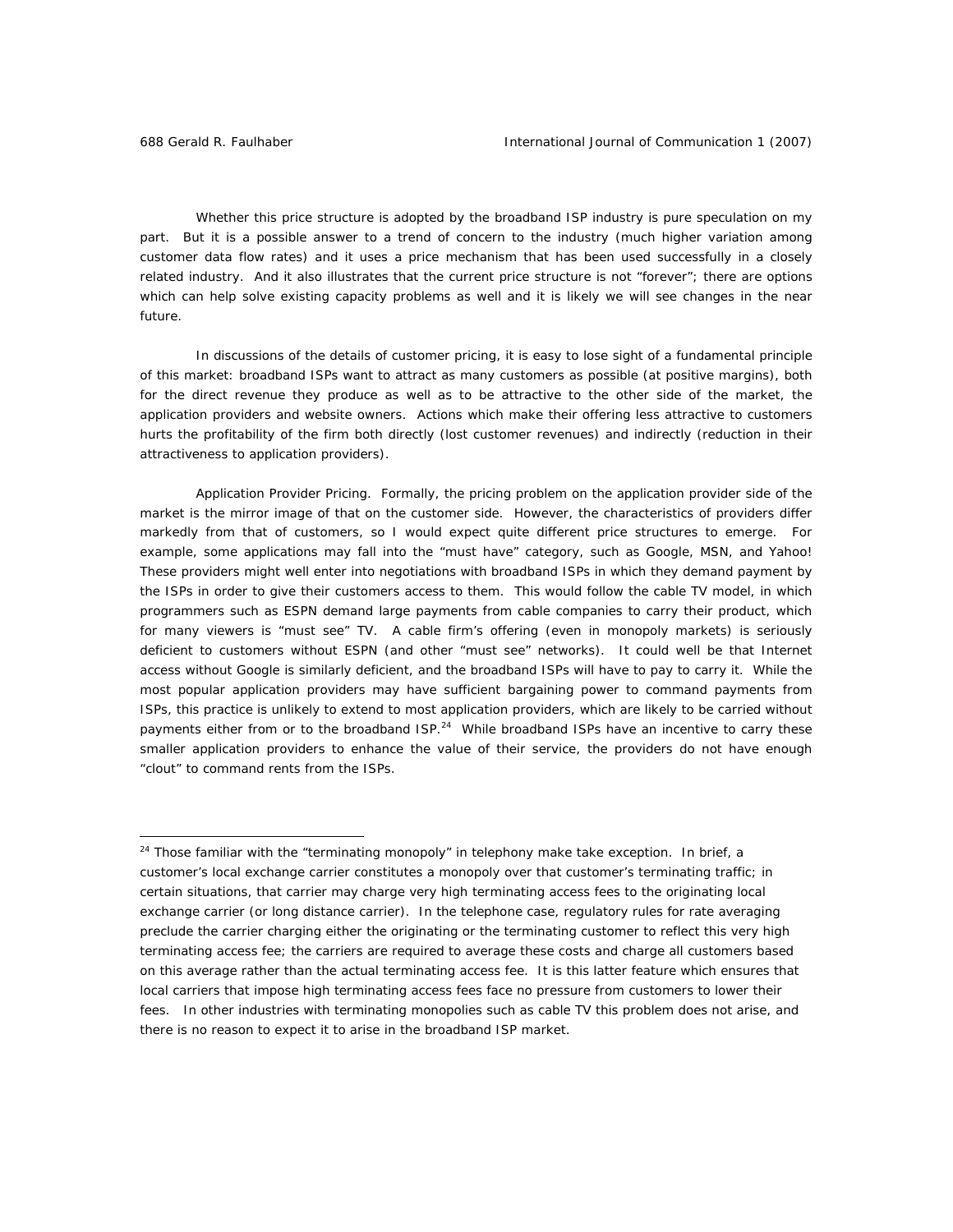Whether this price structure is adopted by the broadband ISP industry is pure speculation on my part. But it is a possible answer to a trend of concern to the industry (much higher variation among customer data flow rates) and it uses a price mechanism that has been used successfully in a closely related industry. And it also illustrates that the current price structure is not "forever"; there are options which can help solve existing capacity problems as well and it is likely we will see changes in the near future.

In discussions of the details of customer pricing, it is easy to lose sight of a fundamental principle of this market: broadband ISPs want to attract as many customers as possible (at positive margins), both for the direct revenue they produce as well as to be attractive to the other side of the market, the application providers and website owners. Actions which make their offering less attractive to customers hurts the profitability of the firm both directly (lost customer revenues) and indirectly (reduction in their attractiveness to application providers).

*Application Provider Pricing.* Formally, the pricing problem on the application provider side of the market is the mirror image of that on the customer side. However, the characteristics of providers differ markedly from that of customers, so I would expect quite different price structures to emerge. For example, some applications may fall into the "must have" category, such as Google, MSN, and Yahoo! These providers might well enter into negotiations with broadband ISPs in which they demand payment by the ISPs in order to give their customers access to them. This would follow the cable TV model, in which programmers such as ESPN demand large payments from cable companies to carry their product, which for many viewers is "must see" TV. A cable firm's offering (even in monopoly markets) is seriously deficient to customers without ESPN (and other "must see" networks). It could well be that Internet access without Google is similarly deficient, and the broadband ISPs will have to pay to carry it. While the most popular application providers may have sufficient bargaining power to command payments from ISPs, this practice is unlikely to extend to most application providers, which are likely to be carried without payments either from or to the broadband ISP.<sup>24</sup> While broadband ISPs have an incentive to carry these smaller application providers to enhance the value of their service, the providers do not have enough "clout" to command rents from the ISPs.

<sup>&</sup>lt;sup>24</sup> Those familiar with the "terminating monopoly" in telephony make take exception. In brief, a customer's local exchange carrier constitutes a monopoly over that customer's terminating traffic; in certain situations, that carrier may charge very high terminating access fees to the originating local exchange carrier (or long distance carrier). In the telephone case, regulatory rules for rate averaging preclude the carrier charging either the originating or the terminating customer to reflect this very high terminating access fee; the carriers are required to average these costs and charge all customers based on this average rather than the actual terminating access fee. It is this latter feature which ensures that local carriers that impose high terminating access fees face no pressure from customers to lower their fees. In other industries with terminating monopolies such as cable TV this problem does not arise, and there is no reason to expect it to arise in the broadband ISP market.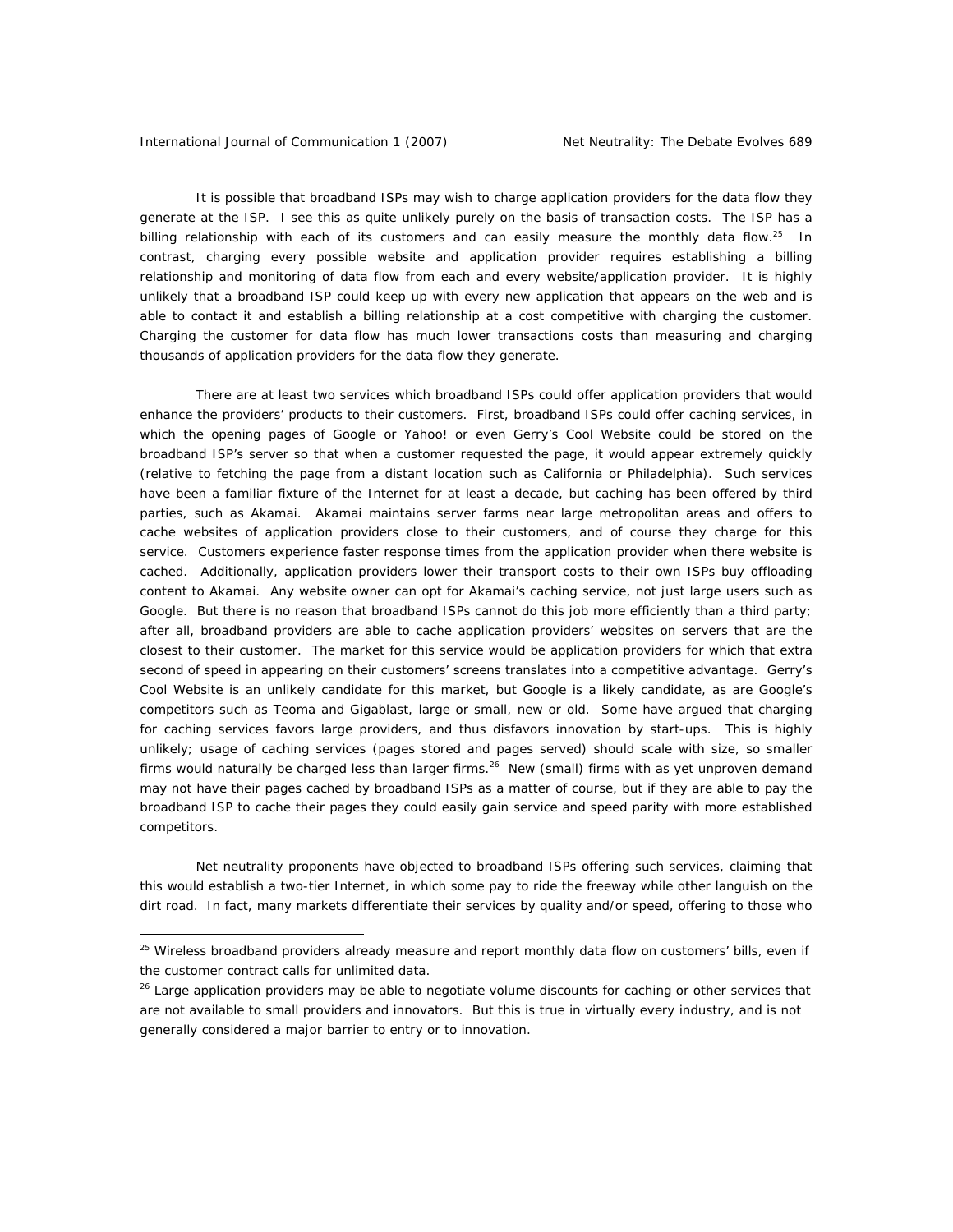#### International Journal of Communication 1 (2007) Net Neutrality: The Debate Evolves 689

 $\overline{a}$ 

It is possible that broadband ISPs may wish to charge application providers for the data flow they generate at the ISP. I see this as quite unlikely purely on the basis of transaction costs. The ISP has a billing relationship with each of its customers and can easily measure the monthly data flow.<sup>25</sup> In contrast, charging every possible website and application provider requires establishing a billing relationship and monitoring of data flow from each and every website/application provider. It is highly unlikely that a broadband ISP could keep up with every new application that appears on the web and is able to contact it and establish a billing relationship at a cost competitive with charging the customer. Charging the customer for data flow has much lower transactions costs than measuring and charging thousands of application providers for the data flow they generate.

There are at least two services which broadband ISPs could offer application providers that would enhance the providers' products to their customers. First, broadband ISPs could offer caching services, in which the opening pages of Google or Yahoo! or even Gerry's Cool Website could be stored on the broadband ISP's server so that when a customer requested the page, it would appear extremely quickly (relative to fetching the page from a distant location such as California or Philadelphia). Such services have been a familiar fixture of the Internet for at least a decade, but caching has been offered by third parties, such as Akamai. Akamai maintains server farms near large metropolitan areas and offers to cache websites of application providers close to their customers, and of course they charge for this service. Customers experience faster response times from the application provider when there website is cached. Additionally, application providers lower their transport costs to their own ISPs buy offloading content to Akamai. Any website owner can opt for Akamai's caching service, not just large users such as Google. But there is no reason that broadband ISPs cannot do this job more efficiently than a third party; after all, broadband providers are able to cache application providers' websites on servers that are the closest to their customer. The market for this service would be application providers for which that extra second of speed in appearing on their customers' screens translates into a competitive advantage. Gerry's Cool Website is an unlikely candidate for this market, but Google is a likely candidate, as are Google's competitors such as Teoma and Gigablast, large or small, new or old. Some have argued that charging for caching services favors large providers, and thus disfavors innovation by start-ups. This is highly unlikely; usage of caching services (pages stored and pages served) should scale with size, so smaller firms would naturally be charged less than larger firms.<sup>26</sup> New (small) firms with as yet unproven demand may not have their pages cached by broadband ISPs as a matter of course, but if they are able to pay the broadband ISP to cache their pages they could easily gain service and speed parity with more established competitors.

Net neutrality proponents have objected to broadband ISPs offering such services, claiming that this would establish a two-tier Internet, in which some pay to ride the freeway while other languish on the dirt road. In fact, many markets differentiate their services by quality and/or speed, offering to those who

<sup>&</sup>lt;sup>25</sup> Wireless broadband providers already measure and report monthly data flow on customers' bills, even if the customer contract calls for unlimited data.

<sup>&</sup>lt;sup>26</sup> Large application providers may be able to negotiate volume discounts for caching or other services that are not available to small providers and innovators. But this is true in virtually every industry, and is not generally considered a major barrier to entry or to innovation.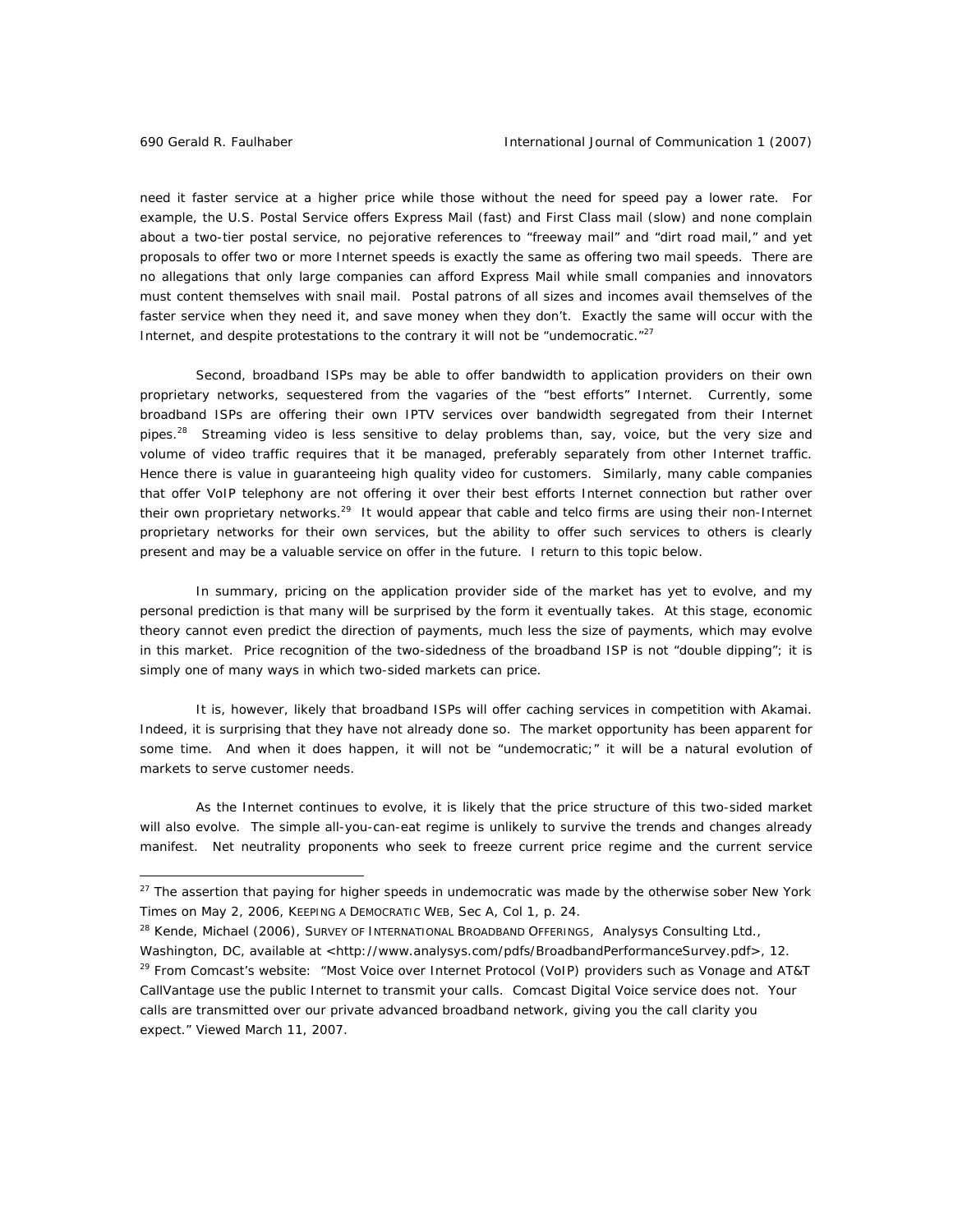need it faster service at a higher price while those without the need for speed pay a lower rate. For example, the U.S. Postal Service offers Express Mail (fast) and First Class mail (slow) and none complain about a two-tier postal service, no pejorative references to "freeway mail" and "dirt road mail," and yet proposals to offer two or more Internet speeds is exactly the same as offering two mail speeds. There are no allegations that only large companies can afford Express Mail while small companies and innovators must content themselves with snail mail. Postal patrons of all sizes and incomes avail themselves of the faster service when they need it, and save money when they don't. Exactly the same will occur with the Internet, and despite protestations to the contrary it will not be "undemocratic." $27$ 

Second, broadband ISPs may be able to offer bandwidth to application providers on their own proprietary networks, sequestered from the vagaries of the "best efforts" Internet. Currently, some broadband ISPs are offering their own IPTV services over bandwidth segregated from their Internet pipes.<sup>28</sup> Streaming video is less sensitive to delay problems than, say, voice, but the very size and volume of video traffic requires that it be managed, preferably separately from other Internet traffic. Hence there is value in guaranteeing high quality video for customers. Similarly, many cable companies that offer VoIP telephony are not offering it over their best efforts Internet connection but rather over their own proprietary networks.<sup>29</sup> It would appear that cable and telco firms are using their non-Internet proprietary networks for their own services, but the ability to offer such services to others is clearly present and may be a valuable service on offer in the future. I return to this topic below.

In summary, pricing on the application provider side of the market has yet to evolve, and my personal prediction is that many will be surprised by the form it eventually takes. At this stage, economic theory cannot even predict the direction of payments, much less the size of payments, which may evolve in this market. Price recognition of the two-sidedness of the broadband ISP is not "double dipping"; it is simply one of many ways in which two-sided markets can price.

It is, however, likely that broadband ISPs will offer caching services in competition with Akamai. Indeed, it is surprising that they have not already done so. The market opportunity has been apparent for some time. And when it does happen, it will not be "undemocratic;" it will be a natural evolution of markets to serve customer needs.

As the Internet continues to evolve, it is likely that the price structure of this two-sided market will also evolve. The simple all-you-can-eat regime is unlikely to survive the trends and changes already manifest. Net neutrality proponents who seek to freeze current price regime and the current service

 $^{28}$  Kende, Michael (2006), SURVEY OF INTERNATIONAL BROADBAND OFFERINGS, Analysys Consulting Ltd.,

<sup>27</sup> The assertion that paying for higher speeds in undemocratic was made by the otherwise sober *New York Times* on May 2, 2006, KEEPING A DEMOCRATIC WEB, Sec A, Col 1, p. 24.

Washington, DC, available at <http://www.analysys.com/pdfs/BroadbandPerformanceSurvey.pdf>, 12. <sup>29</sup> From Comcast's website: "Most Voice over Internet Protocol (VoIP) providers such as Vonage and AT&T CallVantage use the public Internet to transmit your calls. Comcast Digital Voice service does not. Your calls are transmitted over our private advanced broadband network, giving you the call clarity you expect." Viewed March 11, 2007.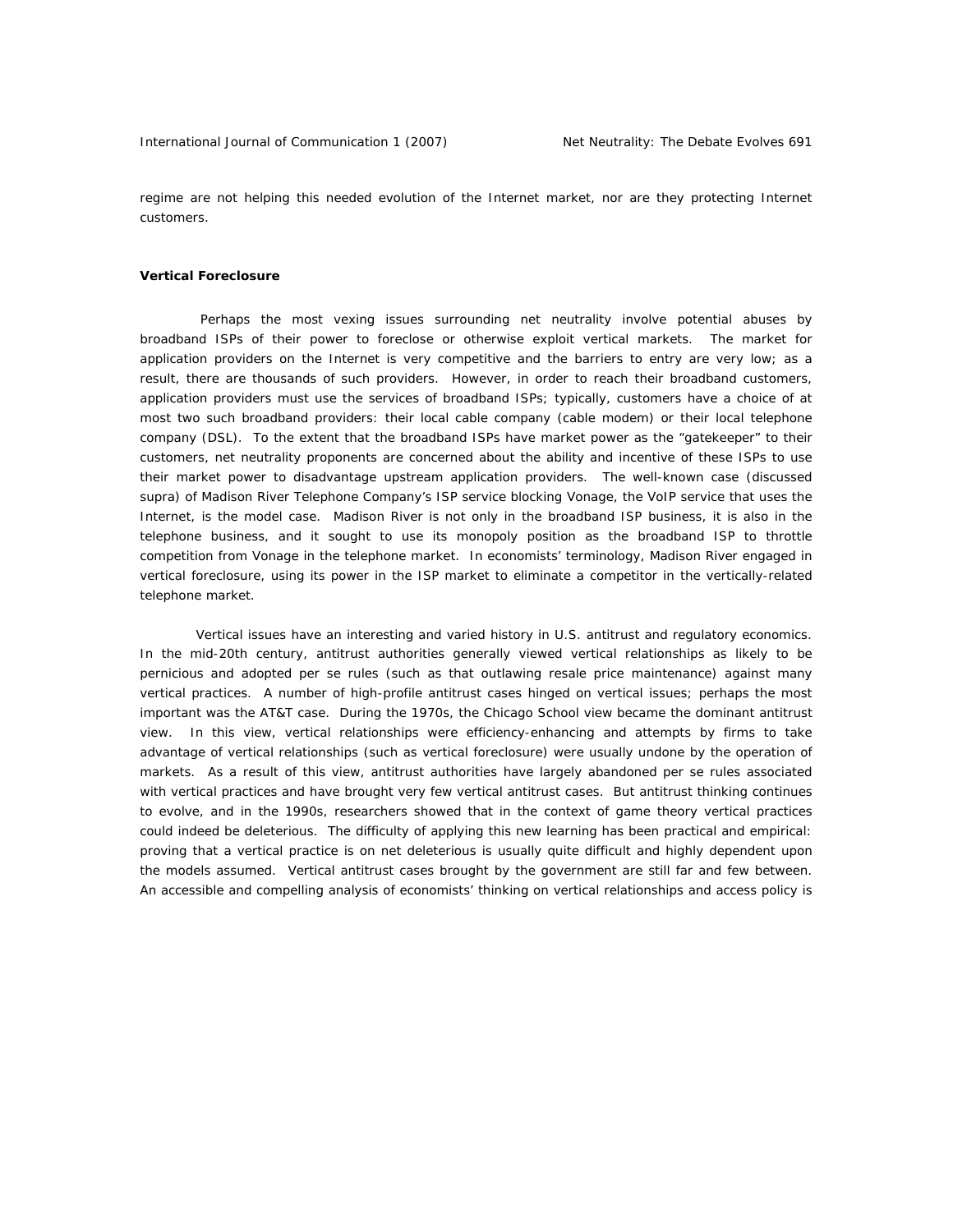regime are not helping this needed evolution of the Internet market, nor are they protecting Internet customers.

#### **Vertical Foreclosure**

 Perhaps the most vexing issues surrounding net neutrality involve potential abuses by broadband ISPs of their power to foreclose or otherwise exploit vertical markets. The market for application providers on the Internet is very competitive and the barriers to entry are very low; as a result, there are thousands of such providers. However, in order to reach their broadband customers, application providers must use the services of broadband ISPs; typically, customers have a choice of at most two such broadband providers: their local cable company (cable modem) or their local telephone company (DSL). To the extent that the broadband ISPs have market power as the "gatekeeper" to their customers, net neutrality proponents are concerned about the ability and incentive of these ISPs to use their market power to disadvantage upstream application providers. The well-known case (discussed *supra*) of Madison River Telephone Company's ISP service blocking Vonage, the VoIP service that uses the Internet, is the model case. Madison River is not only in the broadband ISP business, it is also in the telephone business, and it sought to use its monopoly position as the broadband ISP to throttle competition from Vonage in the telephone market. In economists' terminology, Madison River engaged in *vertical foreclosure*, using its power in the ISP market to eliminate a competitor in the vertically-related telephone market.

Vertical issues have an interesting and varied history in U.S. antitrust and regulatory economics. In the mid-20th century, antitrust authorities generally viewed vertical relationships as likely to be pernicious and adopted *per se* rules (such as that outlawing resale price maintenance) against many vertical practices. A number of high-profile antitrust cases hinged on vertical issues; perhaps the most important was the AT&T case. During the 1970s, the Chicago School view became the dominant antitrust view. In this view, vertical relationships were efficiency-enhancing and attempts by firms to take advantage of vertical relationships (such as vertical foreclosure) were usually undone by the operation of markets. As a result of this view, antitrust authorities have largely abandoned *per se* rules associated with vertical practices and have brought very few vertical antitrust cases. But antitrust thinking continues to evolve, and in the 1990s, researchers showed that in the context of game theory vertical practices could indeed be deleterious. The difficulty of applying this new learning has been practical and empirical: proving that a vertical practice is on net deleterious is usually quite difficult and highly dependent upon the models assumed. Vertical antitrust cases brought by the government are still far and few between. An accessible and compelling analysis of economists' thinking on vertical relationships and access policy is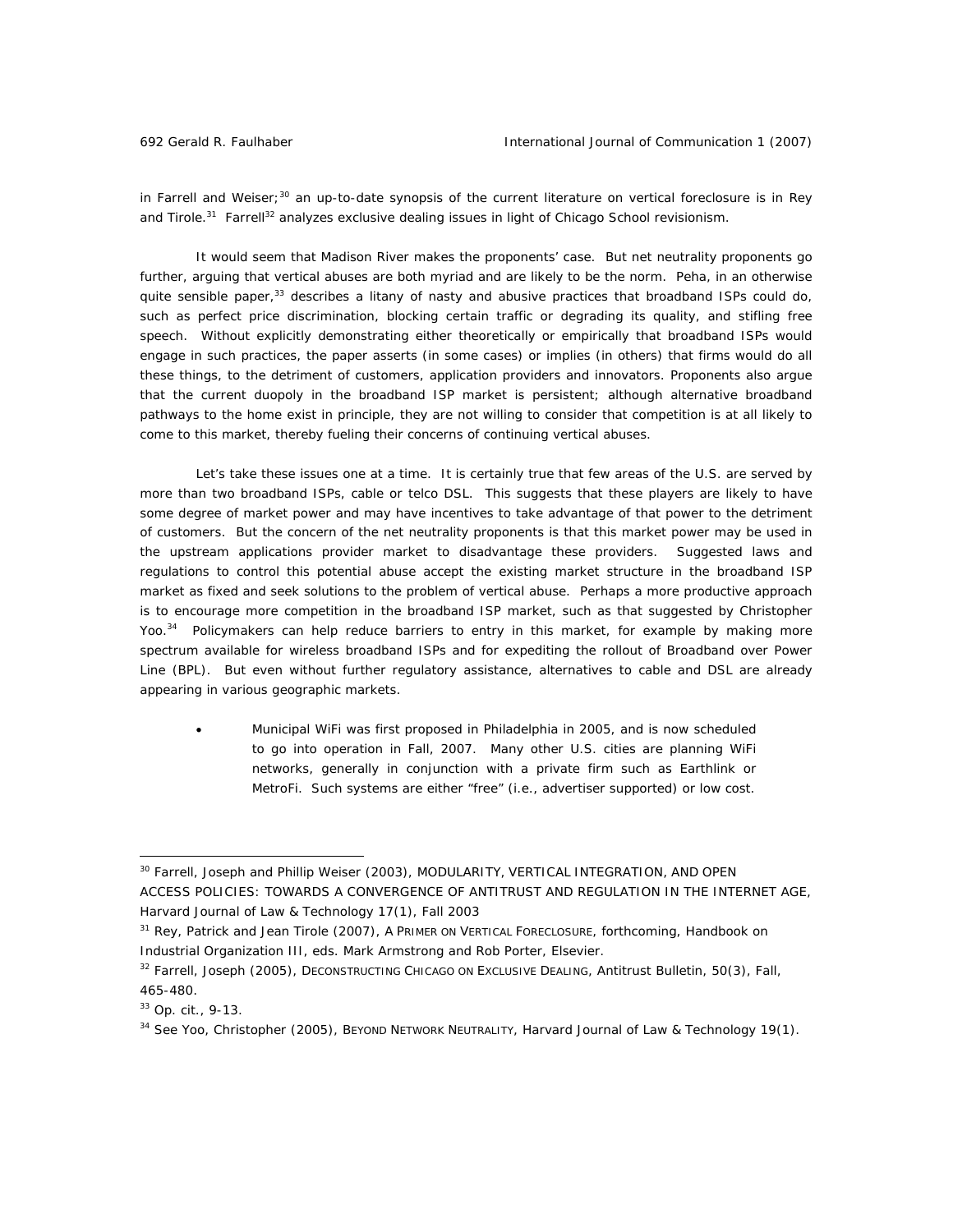in Farrell and Weiser;<sup>30</sup> an up-to-date synopsis of the current literature on vertical foreclosure is in Rey and Tirole.<sup>31</sup> Farrell<sup>32</sup> analyzes exclusive dealing issues in light of Chicago School revisionism.

It would seem that Madison River makes the proponents' case. But net neutrality proponents go further, arguing that vertical abuses are both myriad and are likely to be the norm. Peha, in an otherwise quite sensible paper,<sup>33</sup> describes a litany of nasty and abusive practices that broadband ISPs *could* do, such as perfect price discrimination, blocking certain traffic or degrading its quality, and stifling free speech. Without explicitly demonstrating either theoretically or empirically that broadband ISPs would engage in such practices, the paper asserts (in some cases) or implies (in others) that firms *would* do all these things, to the detriment of customers, application providers and innovators. Proponents also argue that the current duopoly in the broadband ISP market is persistent; although alternative broadband pathways to the home exist in principle, they are not willing to consider that competition is at all likely to come to this market, thereby fueling their concerns of continuing vertical abuses.

Let's take these issues one at a time. It is certainly true that few areas of the U.S. are served by more than two broadband ISPs, cable or telco DSL. This suggests that these players are likely to have some degree of market power and may have incentives to take advantage of that power to the detriment of customers. But the concern of the net neutrality proponents is that this market power may be used in the upstream applications provider market to disadvantage these providers. Suggested laws and regulations to control this potential abuse accept the existing market structure in the broadband ISP market as fixed and seek solutions to the problem of vertical abuse. Perhaps a more productive approach is to encourage more competition in the broadband ISP market, such as that suggested by Christopher Yoo.<sup>34</sup> Policymakers can help reduce barriers to entry in this market, for example by making more spectrum available for wireless broadband ISPs and for expediting the rollout of Broadband over Power Line (BPL). But even without further regulatory assistance, alternatives to cable and DSL are already appearing in various geographic markets.

• Municipal WiFi was first proposed in Philadelphia in 2005, and is now scheduled to go into operation in Fall, 2007. Many other U.S. cities are planning WiFi networks, generally in conjunction with a private firm such as Earthlink or MetroFi. Such systems are either "free" (i.e., advertiser supported) or low cost.

<sup>&</sup>lt;sup>30</sup> Farrell, Joseph and Phillip Weiser (2003), MODULARITY, VERTICAL INTEGRATION, AND OPEN ACCESS POLICIES: TOWARDS A CONVERGENCE OF ANTITRUST AND REGULATION IN THE INTERNET AGE, *Harvard Journal of Law & Technology* 17(1), Fall 2003

<sup>31</sup> Rey, Patrick and Jean Tirole (2007), A PRIMER ON VERTICAL FORECLOSURE, forthcoming, *Handbook on Industrial Organization III,* eds. Mark Armstrong and Rob Porter, Elsevier.

<sup>32</sup> Farrell, Joseph (2005), DECONSTRUCTING CHICAGO ON EXCLUSIVE DEALING, *Antitrust Bulletin*, 50(3), Fall, 465-480.

<sup>33</sup> *Op. cit.,* 9-13.

<sup>34</sup> See Yoo, Christopher (2005), BEYOND NETWORK NEUTRALITY, *Harvard Journal of Law & Technology* 19(1).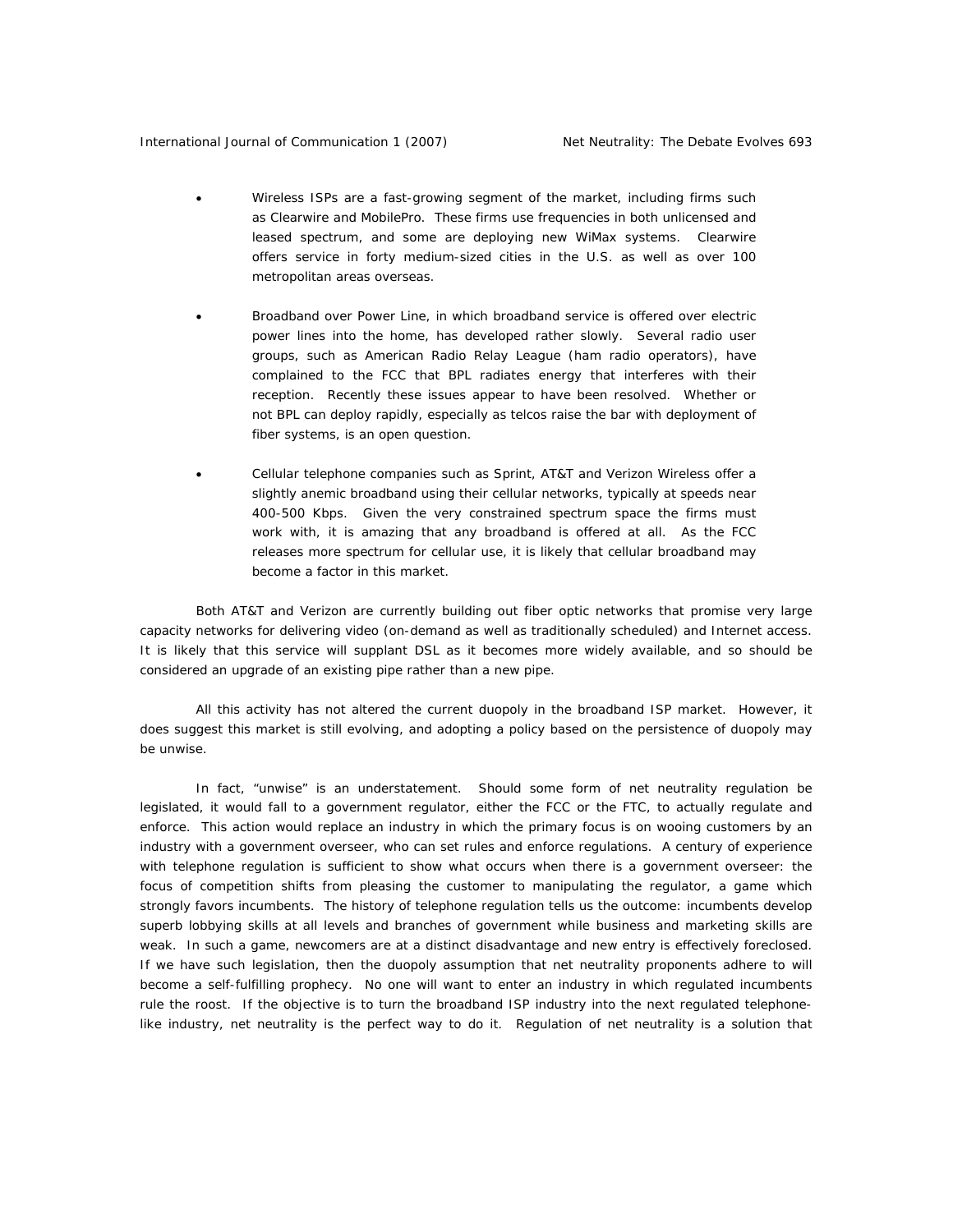- Wireless ISPs are a fast-growing segment of the market, including firms such as Clearwire and MobilePro. These firms use frequencies in both unlicensed and leased spectrum, and some are deploying new WiMax systems. Clearwire offers service in forty medium-sized cities in the U.S. as well as over 100 metropolitan areas overseas.
- Broadband over Power Line, in which broadband service is offered over electric power lines into the home, has developed rather slowly. Several radio user groups, such as American Radio Relay League (ham radio operators), have complained to the FCC that BPL radiates energy that interferes with their reception. Recently these issues appear to have been resolved. Whether or not BPL can deploy rapidly, especially as telcos raise the bar with deployment of fiber systems, is an open question.
- Cellular telephone companies such as Sprint, AT&T and Verizon Wireless offer a slightly anemic broadband using their cellular networks, typically at speeds near 400-500 Kbps. Given the very constrained spectrum space the firms must work with, it is amazing that any broadband is offered at all. As the FCC releases more spectrum for cellular use, it is likely that cellular broadband may become a factor in this market.

Both AT&T and Verizon are currently building out fiber optic networks that promise very large capacity networks for delivering video (on-demand as well as traditionally scheduled) and Internet access. It is likely that this service will supplant DSL as it becomes more widely available, and so should be considered an upgrade of an existing pipe rather than a new pipe.

All this activity has not altered the current duopoly in the broadband ISP market. However, it does suggest this market is still evolving, and adopting a policy based on the persistence of duopoly may be unwise.

In fact, "unwise" is an understatement. Should some form of net neutrality regulation be legislated, it would fall to a government regulator, either the FCC or the FTC, to actually regulate and enforce. This action would replace an industry in which the primary focus is on wooing customers by an industry with a government overseer, who can set rules and enforce regulations. A century of experience with telephone regulation is sufficient to show what occurs when there is a government overseer: the focus of competition shifts from pleasing the customer to manipulating the regulator, a game which strongly favors incumbents. The history of telephone regulation tells us the outcome: incumbents develop superb lobbying skills at all levels and branches of government while business and marketing skills are weak. In such a game, newcomers are at a distinct disadvantage and new entry is effectively foreclosed. If we have such legislation, then the duopoly assumption that net neutrality proponents adhere to will become a self-fulfilling prophecy. No one will want to enter an industry in which regulated incumbents rule the roost. If the objective is to turn the broadband ISP industry into the next regulated telephonelike industry, net neutrality is the perfect way to do it. Regulation of net neutrality is a solution that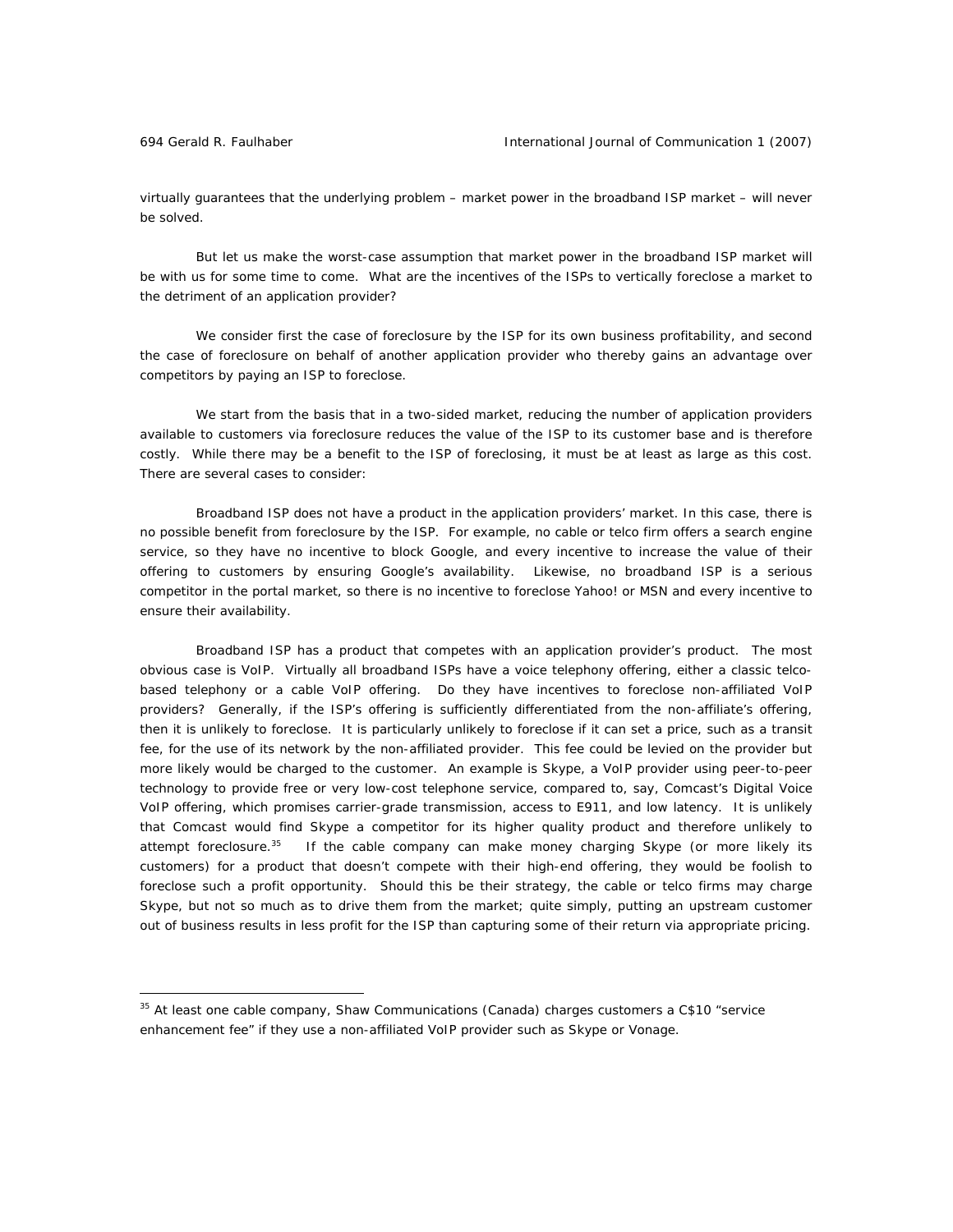virtually guarantees that the underlying problem – market power in the broadband ISP market – will never be solved.

But let us make the worst-case assumption that market power in the broadband ISP market will be with us for some time to come. What are the incentives of the ISPs to vertically foreclose a market to the detriment of an application provider?

We consider first the case of foreclosure by the ISP for its own business profitability, and second the case of foreclosure on behalf of another application provider who thereby gains an advantage over competitors by paying an ISP to foreclose.

We start from the basis that in a two-sided market, reducing the number of application providers available to customers via foreclosure reduces the value of the ISP to its customer base and is therefore costly. While there may be a benefit to the ISP of foreclosing, it must be at least as large as this cost. There are several cases to consider:

*Broadband ISP does not have a product in the application providers' market.* In this case, there is no possible benefit from foreclosure by the ISP. For example, no cable or telco firm offers a search engine service, so they have no incentive to block Google, and every incentive to increase the value of their offering to customers by ensuring Google's availability. Likewise, no broadband ISP is a serious competitor in the portal market, so there is no incentive to foreclose Yahoo! or MSN and every incentive to ensure their availability.

*Broadband ISP has a product that competes with an application provider's product.* The most obvious case is VoIP. Virtually all broadband ISPs have a voice telephony offering, either a classic telcobased telephony or a cable VoIP offering. Do they have incentives to foreclose non-affiliated VoIP providers? Generally, if the ISP's offering is sufficiently differentiated from the non-affiliate's offering, then it is unlikely to foreclose. It is particularly unlikely to foreclose if it can set a price, such as a transit fee, for the use of its network by the non-affiliated provider. This fee could be levied on the provider but more likely would be charged to the customer. An example is Skype, a VoIP provider using peer-to-peer technology to provide free or very low-cost telephone service, compared to, say, Comcast's Digital Voice VoIP offering, which promises carrier-grade transmission, access to E911, and low latency. It is unlikely that Comcast would find Skype a competitor for its higher quality product and therefore unlikely to attempt foreclosure.<sup>35</sup> If the cable company can make money charging Skype (or more likely its customers) for a product that doesn't compete with their high-end offering, they would be foolish to foreclose such a profit opportunity. Should this be their strategy, the cable or telco firms may charge Skype, but not so much as to drive them from the market; quite simply, putting an upstream customer out of business results in less profit for the ISP than capturing some of their return via appropriate pricing.

<sup>&</sup>lt;sup>35</sup> At least one cable company, Shaw Communications (Canada) charges customers a C\$10 "service enhancement fee" if they use a non-affiliated VoIP provider such as Skype or Vonage.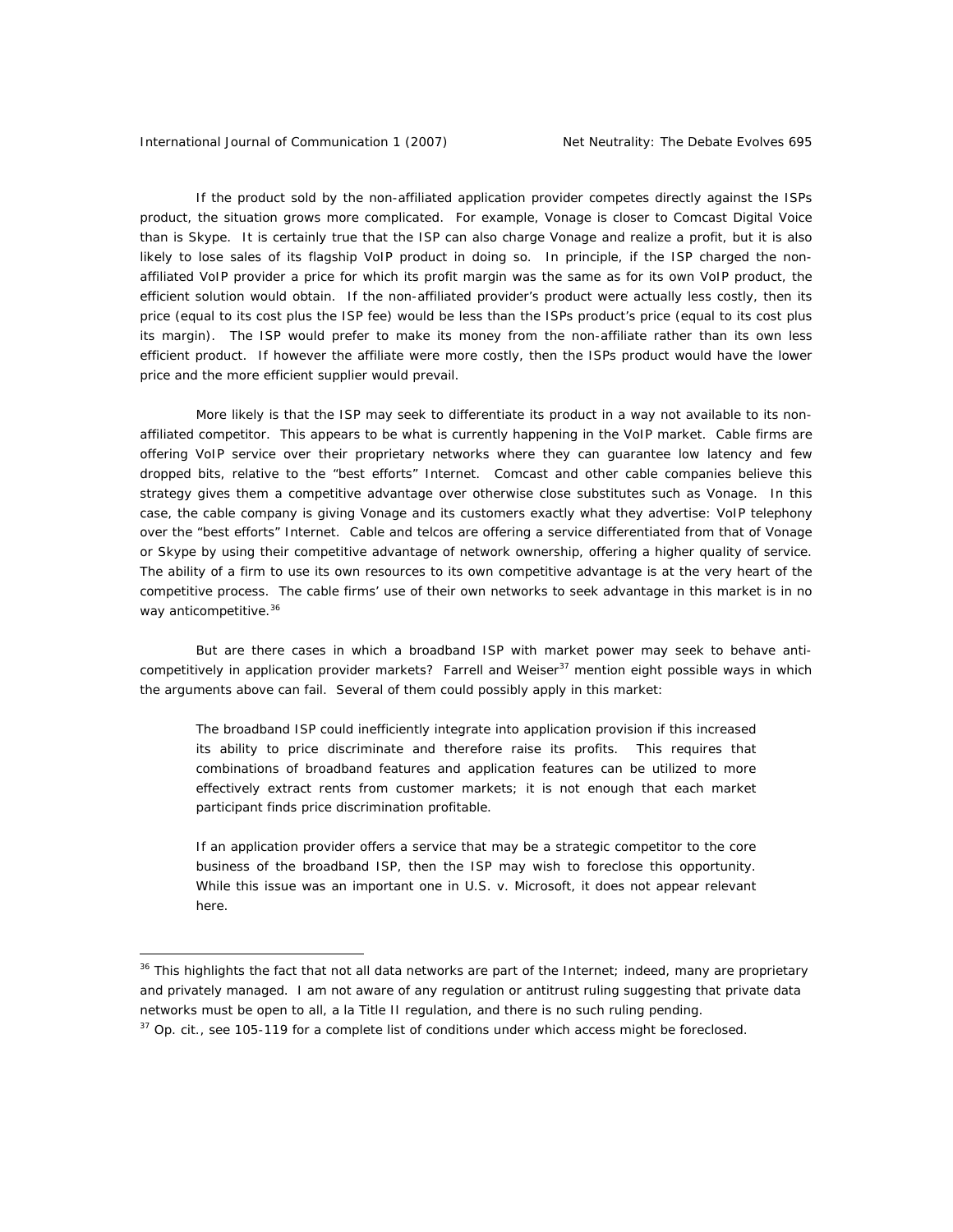#### International Journal of Communication 1 (2007) Net Neutrality: The Debate Evolves 695

 $\overline{a}$ 

If the product sold by the non-affiliated application provider competes directly against the ISPs product, the situation grows more complicated. For example, Vonage is closer to Comcast Digital Voice than is Skype. It is certainly true that the ISP can also charge Vonage and realize a profit, but it is also likely to lose sales of its flagship VoIP product in doing so. In principle, if the ISP charged the nonaffiliated VoIP provider a price for which its profit margin was the same as for its own VoIP product, the efficient solution would obtain. If the non-affiliated provider's product were actually less costly, then its price (equal to its cost plus the ISP fee) would be less than the ISPs product's price (equal to its cost plus its margin). The ISP would prefer to make its money from the non-affiliate rather than its own less efficient product. If however the affiliate were more costly, then the ISPs product would have the lower price and the more efficient supplier would prevail.

More likely is that the ISP may seek to differentiate its product in a way not available to its nonaffiliated competitor. This appears to be what is currently happening in the VoIP market. Cable firms are offering VoIP service over their proprietary networks where they can guarantee low latency and few dropped bits, relative to the "best efforts" Internet. Comcast and other cable companies believe this strategy gives them a competitive advantage over otherwise close substitutes such as Vonage. In this case, the cable company is giving Vonage and its customers exactly what they advertise: VoIP telephony over the "best efforts" Internet. Cable and telcos are offering a service differentiated from that of Vonage or Skype by using their competitive advantage of network ownership, offering a higher quality of service. The ability of a firm to use its own resources to its own competitive advantage is at the very heart of the competitive process. The cable firms' use of their own networks to seek advantage in this market is in no way anticompetitive.<sup>36</sup>

But are there cases in which a broadband ISP with market power may seek to behave anticompetitively in application provider markets? Farrell and Weiser<sup>37</sup> mention eight possible ways in which the arguments above can fail. Several of them could possibly apply in this market:

The broadband ISP could inefficiently integrate into application provision if this increased its ability to price discriminate and therefore raise its profits. This requires that combinations of broadband features and application features can be utilized to more effectively extract rents from customer markets; it is not enough that each market participant finds price discrimination profitable.

If an application provider offers a service that may be a strategic competitor to the core business of the broadband ISP, then the ISP may wish to foreclose this opportunity. While this issue was an important one in *U.S. v. Microsoft*, it does not appear relevant here.

<sup>&</sup>lt;sup>36</sup> This highlights the fact that not all data networks are part of the Internet; indeed, many are proprietary and privately managed. I am not aware of any regulation or antitrust ruling suggesting that private data networks must be open to all, a la Title II regulation, and there is no such ruling pending.

<sup>&</sup>lt;sup>37</sup> *Op. cit.*, see 105-119 for a complete list of conditions under which access might be foreclosed.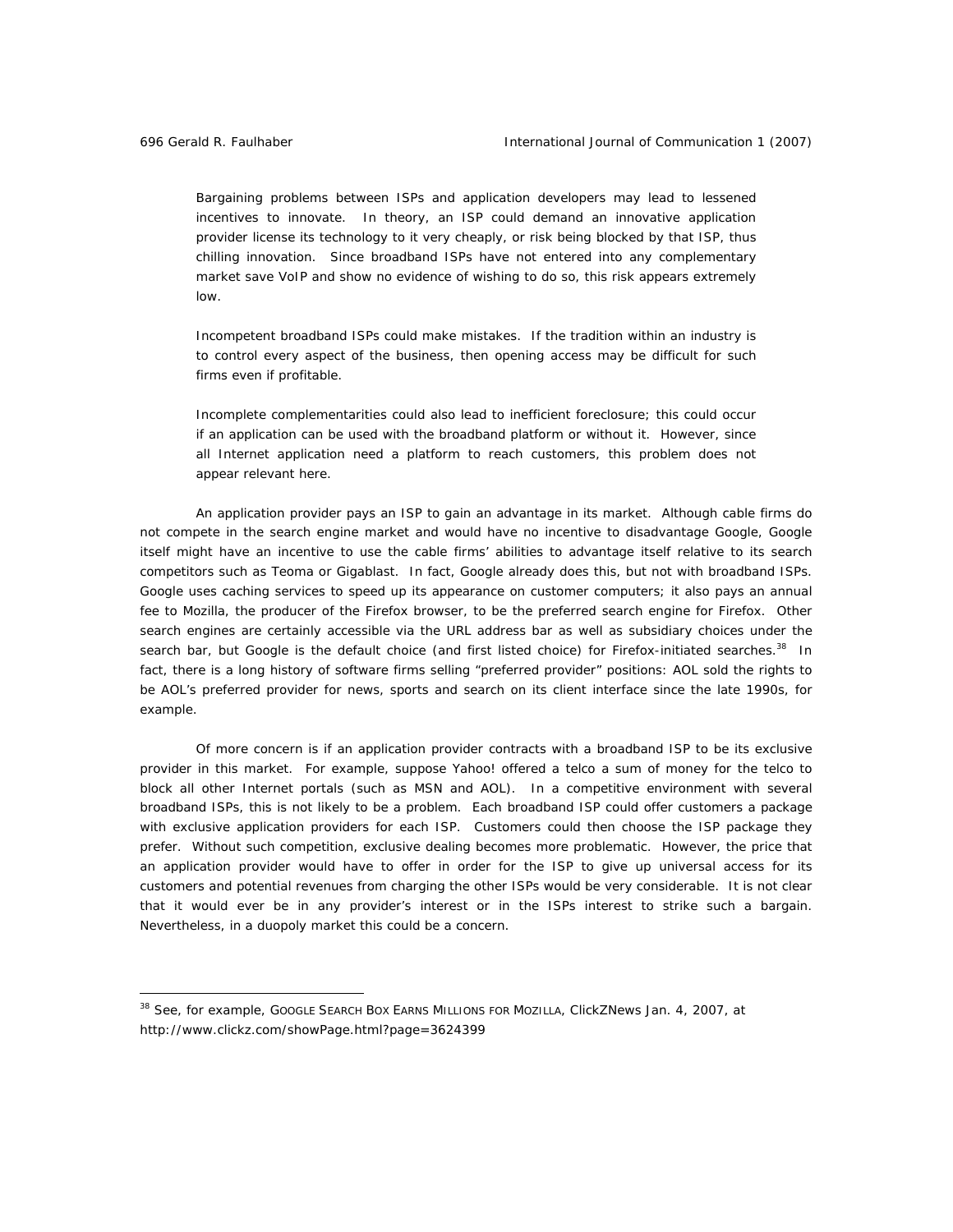Bargaining problems between ISPs and application developers may lead to lessened incentives to innovate. In theory, an ISP could demand an innovative application provider license its technology to it very cheaply, or risk being blocked by that ISP, thus chilling innovation. Since broadband ISPs have not entered into any complementary market save VoIP and show no evidence of wishing to do so, this risk appears extremely low.

Incompetent broadband ISPs could make mistakes. If the tradition within an industry is to control every aspect of the business, then opening access may be difficult for such firms even if profitable.

Incomplete complementarities could also lead to inefficient foreclosure; this could occur if an application can be used with the broadband platform or without it. However, since all Internet application need a platform to reach customers, this problem does not appear relevant here.

*An application provider pays an ISP to gain an advantage in its market.* Although cable firms do not compete in the search engine market and would have no incentive to disadvantage Google, Google itself might have an incentive to use the cable firms' abilities to advantage itself relative to its search competitors such as Teoma or Gigablast. In fact, Google already does this, but not with broadband ISPs. Google uses caching services to speed up its appearance on customer computers; it also pays an annual fee to Mozilla, the producer of the Firefox browser, to be the preferred search engine for Firefox. Other search engines are certainly accessible via the URL address bar as well as subsidiary choices under the search bar, but Google is the default choice (and first listed choice) for Firefox-initiated searches.<sup>38</sup> In fact, there is a long history of software firms selling "preferred provider" positions: AOL sold the rights to be AOL's preferred provider for news, sports and search on its client interface since the late 1990s, for example.

Of more concern is if an application provider contracts with a broadband ISP to be its *exclusive* provider in this market. For example, suppose Yahoo! offered a telco a sum of money for the telco to *block* all other Internet portals (such as MSN and AOL). In a competitive environment with several broadband ISPs, this is not likely to be a problem. Each broadband ISP could offer customers a package with exclusive application providers for each ISP. Customers could then choose the ISP package they prefer. Without such competition, exclusive dealing becomes more problematic. However, the price that an application provider would have to offer in order for the ISP to give up universal access for its customers and potential revenues from charging the other ISPs would be very considerable. It is not clear that it would ever be in any provider's interest or in the ISPs interest to strike such a bargain. Nevertheless, in a duopoly market this could be a concern.

<sup>38</sup> See, for example, GOOGLE SEARCH BOX EARNS MILLIONS FOR MOZILLA, *ClickZNews* Jan. 4, 2007, at http://www.clickz.com/showPage.html?page=3624399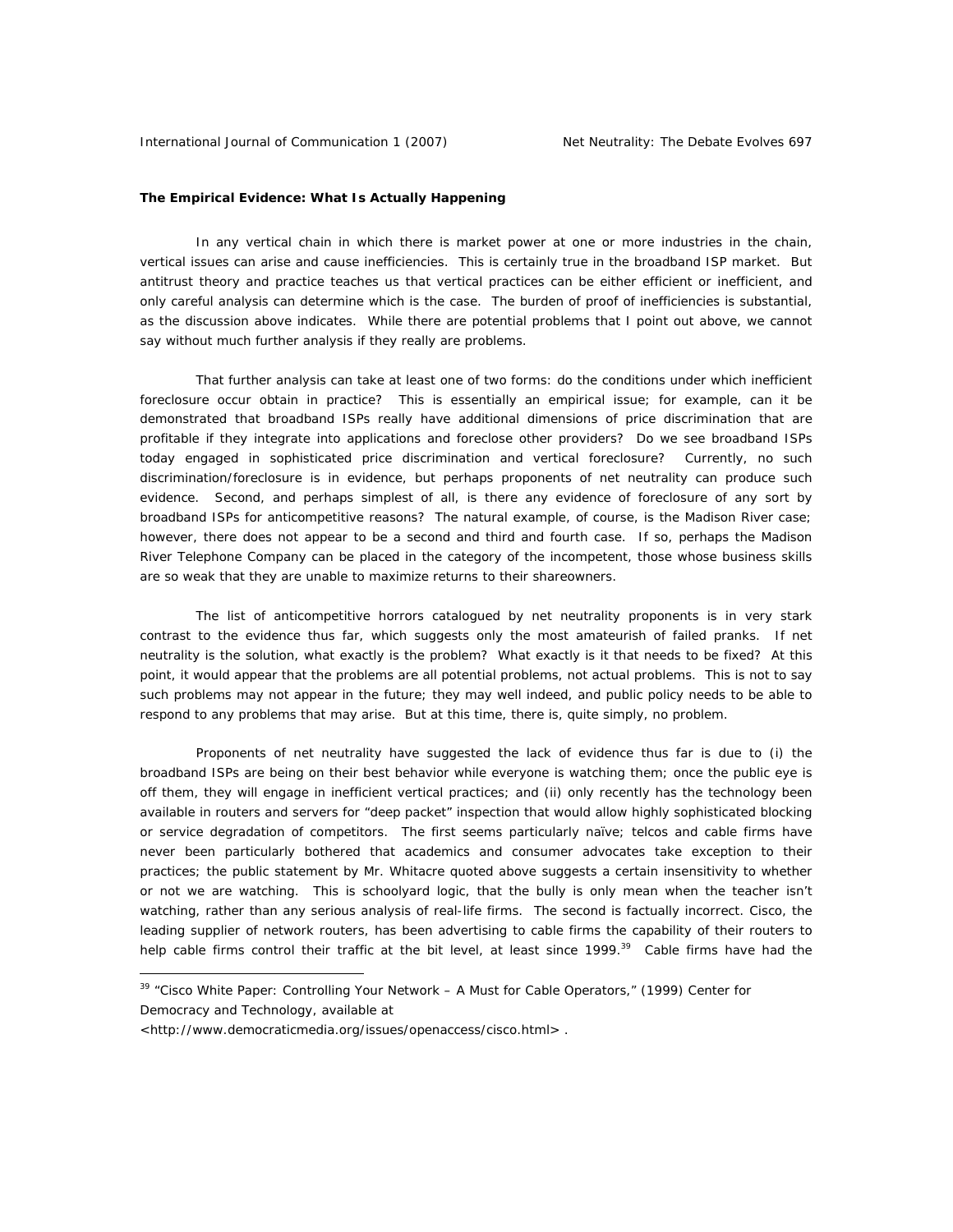#### **The Empirical Evidence: What Is Actually Happening**

In any vertical chain in which there is market power at one or more industries in the chain, vertical issues can arise and cause inefficiencies. This is certainly true in the broadband ISP market. But antitrust theory and practice teaches us that vertical practices can be either efficient or inefficient, and only careful analysis can determine which is the case. The burden of proof of inefficiencies is substantial, as the discussion above indicates. While there are potential problems that I point out above, we cannot say without much further analysis if they really are problems.

That further analysis can take at least one of two forms: do the conditions under which inefficient foreclosure occur obtain in practice? This is essentially an empirical issue; for example, can it be demonstrated that broadband ISPs really have additional dimensions of price discrimination that are profitable if they integrate into applications and foreclose other providers? Do we see broadband ISPs today engaged in sophisticated price discrimination and vertical foreclosure? Currently, no such discrimination/foreclosure is in evidence, but perhaps proponents of net neutrality can produce such evidence. Second, and perhaps simplest of all, is there any evidence of foreclosure of any sort by broadband ISPs for anticompetitive reasons? The natural example, of course, is the Madison River case; however, there does not appear to be a second and third and fourth case. If so, perhaps the Madison River Telephone Company can be placed in the category of the incompetent, those whose business skills are so weak that they are unable to maximize returns to their shareowners.

The list of anticompetitive horrors catalogued by net neutrality proponents is in very stark contrast to the evidence thus far, which suggests only the most amateurish of failed pranks. If net neutrality is the solution, what exactly is the problem? What exactly is it that needs to be fixed? At this point, it would appear that the problems are all potential problems, not actual problems. This is not to say such problems may not appear in the future; they may well indeed, and public policy needs to be able to respond to any problems that may arise. But at this time, there is, quite simply, no problem.

Proponents of net neutrality have suggested the lack of evidence thus far is due to (i) the broadband ISPs are being on their best behavior while everyone is watching them; once the public eye is off them, they will engage in inefficient vertical practices; and (ii) only recently has the technology been available in routers and servers for "deep packet" inspection that would allow highly sophisticated blocking or service degradation of competitors. The first seems particularly naïve; telcos and cable firms have never been particularly bothered that academics and consumer advocates take exception to their practices; the public statement by Mr. Whitacre quoted above suggests a certain insensitivity to whether or not we are watching. This is schoolyard logic, that the bully is only mean when the teacher isn't watching, rather than any serious analysis of real-life firms. The second is factually incorrect. Cisco, the leading supplier of network routers, has been advertising to cable firms the capability of their routers to help cable firms control their traffic at the bit level, at least since 1999.<sup>39</sup> Cable firms have had the

 $39$  "Cisco White Paper: Controlling Your Network – A Must for Cable Operators," (1999) Center for Democracy and Technology, available at

<sup>&</sup>lt;http://www.democraticmedia.org/issues/openaccess/cisco.html> .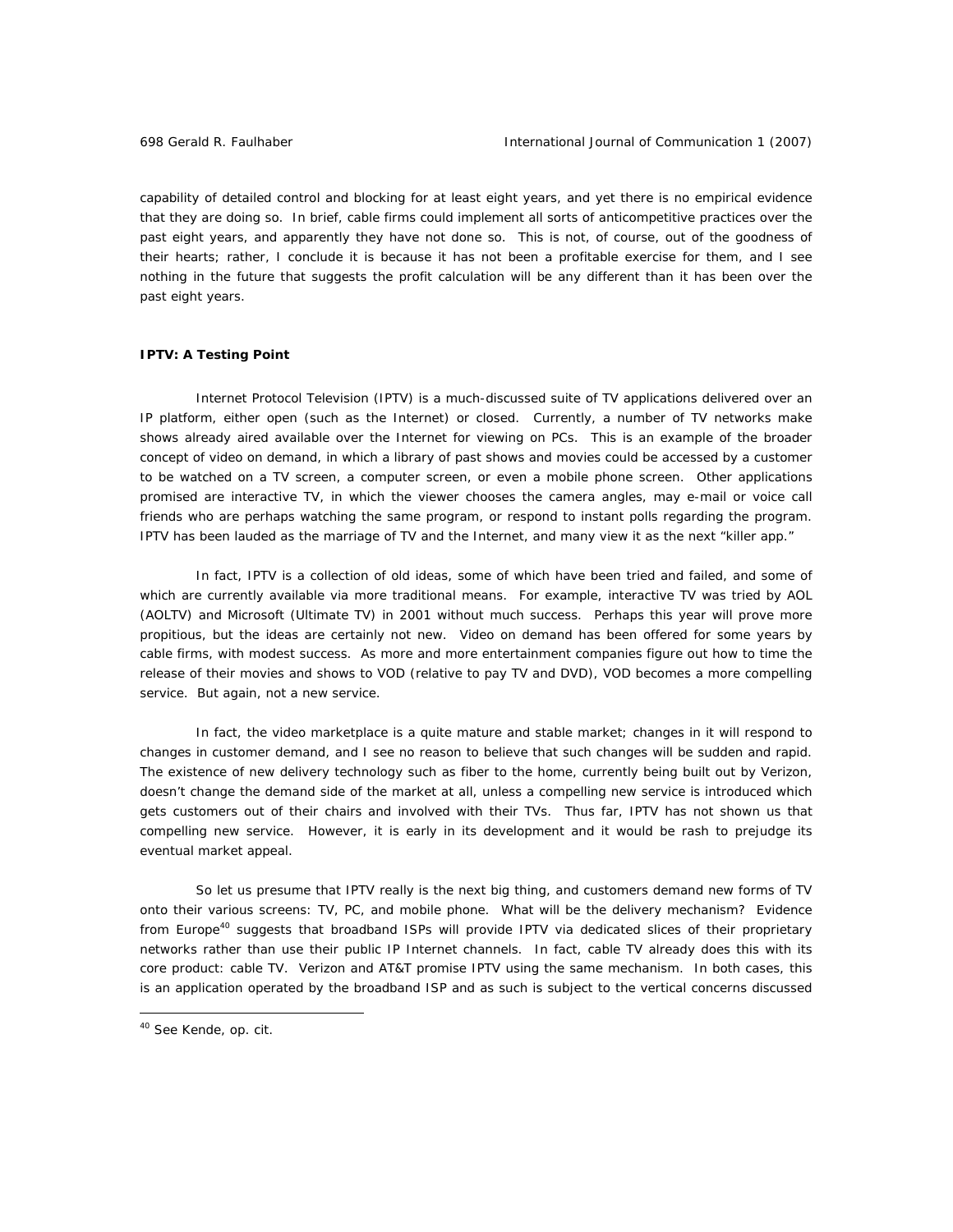capability of detailed control and blocking for at least eight years, and yet there is no empirical evidence that they are doing so. In brief, cable firms *could* implement all sorts of anticompetitive practices over the past eight years, and apparently they have not done so. This is not, of course, out of the goodness of their hearts; rather, I conclude it is because it has not been a profitable exercise for them, and I see nothing in the future that suggests the profit calculation will be any different than it has been over the past eight years.

## **IPTV: A Testing Point**

Internet Protocol Television (IPTV) is a much-discussed suite of TV applications delivered over an IP platform, either open (such as the Internet) or closed. Currently, a number of TV networks make shows already aired available over the Internet for viewing on PCs. This is an example of the broader concept of video on demand, in which a library of past shows and movies could be accessed by a customer to be watched on a TV screen, a computer screen, or even a mobile phone screen. Other applications promised are interactive TV, in which the viewer chooses the camera angles, may e-mail or voice call friends who are perhaps watching the same program, or respond to instant polls regarding the program. IPTV has been lauded as the marriage of TV and the Internet, and many view it as the next "killer app."

In fact, IPTV is a collection of old ideas, some of which have been tried and failed, and some of which are currently available via more traditional means. For example, interactive TV was tried by AOL (AOLTV) and Microsoft (Ultimate TV) in 2001 without much success. Perhaps this year will prove more propitious, but the ideas are certainly not new. Video on demand has been offered for some years by cable firms, with modest success. As more and more entertainment companies figure out how to time the release of their movies and shows to VOD (relative to pay TV and DVD), VOD becomes a more compelling service. But again, not a new service.

In fact, the video marketplace is a quite mature and stable market; changes in it will respond to changes in customer demand, and I see no reason to believe that such changes will be sudden and rapid. The existence of new delivery technology such as fiber to the home, currently being built out by Verizon, doesn't change the demand side of the market at all, unless a compelling new service is introduced which gets customers out of their chairs and involved with their TVs. Thus far, IPTV has not shown us that compelling new service. However, it is early in its development and it would be rash to prejudge its eventual market appeal.

So let us presume that IPTV really is the next big thing, and customers demand new forms of TV onto their various screens: TV, PC, and mobile phone. What will be the delivery mechanism? Evidence from Europe<sup>40</sup> suggests that broadband ISPs will provide IPTV via dedicated slices of their proprietary networks rather than use their public IP Internet channels. In fact, cable TV already does this with its core product: cable TV. Verizon and AT&T promise IPTV using the same mechanism. In both cases, this is an application operated by the broadband ISP and as such is subject to the vertical concerns discussed

<sup>40</sup> See Kende, *op. cit.*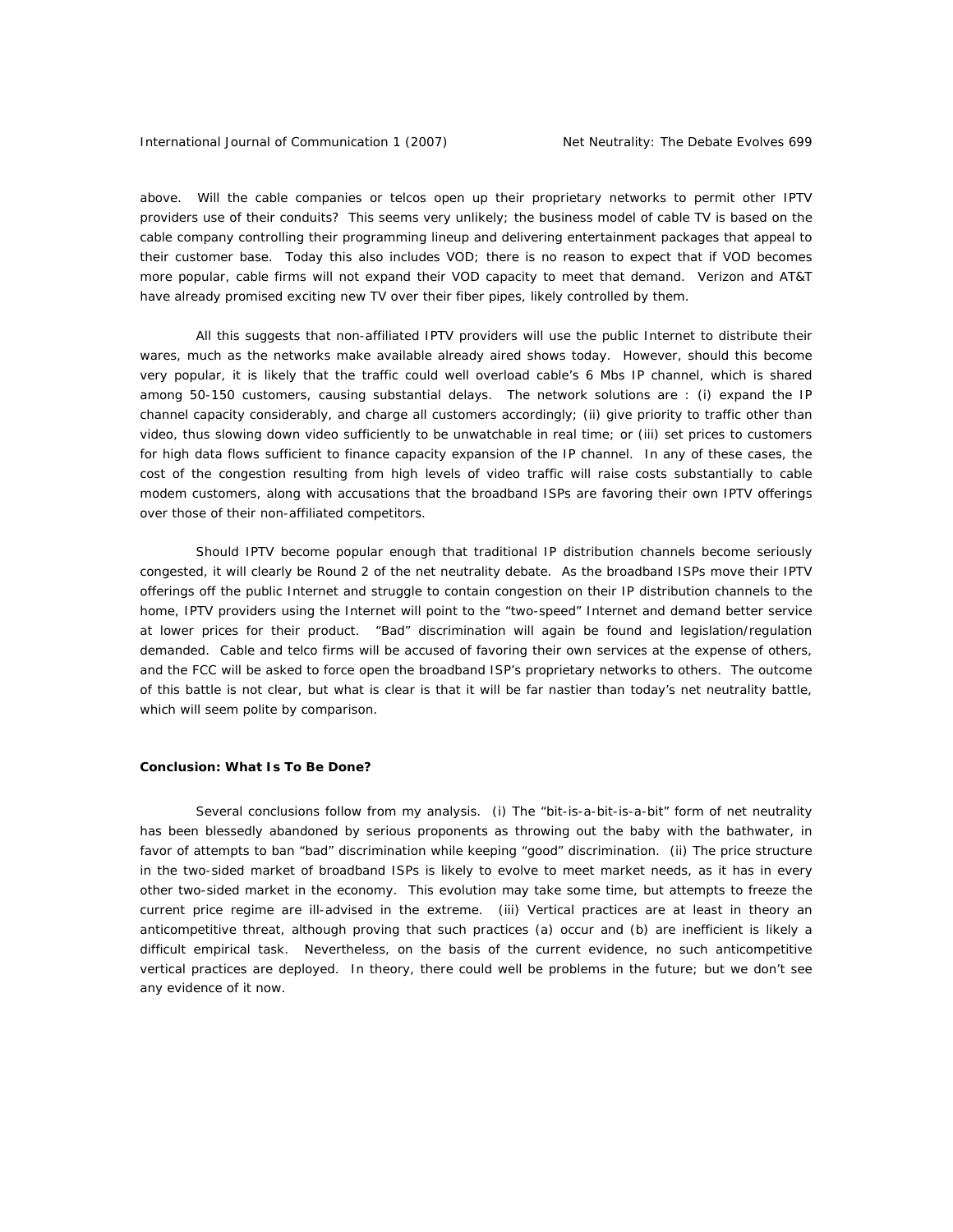above. Will the cable companies or telcos open up their proprietary networks to permit other IPTV providers use of their conduits? This seems very unlikely; the business model of cable TV is based on the cable company controlling their programming lineup and delivering entertainment packages that appeal to their customer base. Today this also includes VOD; there is no reason to expect that if VOD becomes more popular, cable firms will not expand their VOD capacity to meet that demand. Verizon and AT&T have already promised exciting new TV over their fiber pipes, likely controlled by them.

All this suggests that non-affiliated IPTV providers will use the public Internet to distribute their wares, much as the networks make available already aired shows today. However, should this become very popular, it is likely that the traffic could well overload cable's 6 Mbs IP channel, which is shared among 50-150 customers, causing substantial delays. The network solutions are : (i) expand the IP channel capacity considerably, and charge all customers accordingly; (ii) give priority to traffic other than video, thus slowing down video sufficiently to be unwatchable in real time; or (iii) set prices to customers for high data flows sufficient to finance capacity expansion of the IP channel. In any of these cases, the cost of the congestion resulting from high levels of video traffic will raise costs substantially to cable modem customers, along with accusations that the broadband ISPs are favoring their own IPTV offerings over those of their non-affiliated competitors.

Should IPTV become popular enough that traditional IP distribution channels become seriously congested, it will clearly be Round 2 of the net neutrality debate. As the broadband ISPs move their IPTV offerings off the public Internet and struggle to contain congestion on their IP distribution channels to the home, IPTV providers using the Internet will point to the "two-speed" Internet and demand better service at lower prices for their product. "Bad" discrimination will again be found and legislation/regulation demanded. Cable and telco firms will be accused of favoring their own services at the expense of others, and the FCC will be asked to force open the broadband ISP's proprietary networks to others. The outcome of this battle is not clear, but what is clear is that it will be far nastier than today's net neutrality battle, which will seem polite by comparison.

### **Conclusion: What Is To Be Done?**

Several conclusions follow from my analysis. (i) The "bit-is-a-bit-is-a-bit" form of net neutrality has been blessedly abandoned by serious proponents as throwing out the baby with the bathwater, in favor of attempts to ban "bad" discrimination while keeping "good" discrimination. (ii) The price structure in the two-sided market of broadband ISPs is likely to evolve to meet market needs, as it has in every other two-sided market in the economy. This evolution may take some time, but attempts to freeze the current price regime are ill-advised in the extreme. (iii) Vertical practices are at least in theory an anticompetitive threat, although proving that such practices (a) occur and (b) are inefficient is likely a difficult empirical task. Nevertheless, on the basis of the current evidence, no such anticompetitive vertical practices are deployed. In theory, there could well be problems in the future; but we don't see any evidence of it now.